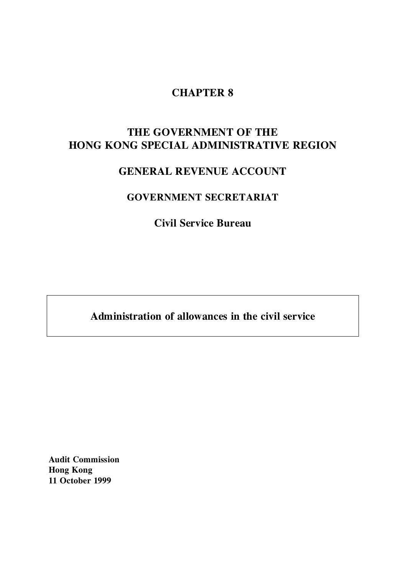# **CHAPTER 8**

# **THE GOVERNMENT OF THE HONG KONG SPECIAL ADMINISTRATIVE REGION**

# **GENERAL REVENUE ACCOUNT**

## **GOVERNMENT SECRETARIAT**

**Civil Service Bureau**

**Administration of allowances in the civil service**

**Audit Commission Hong Kong 11 October 1999**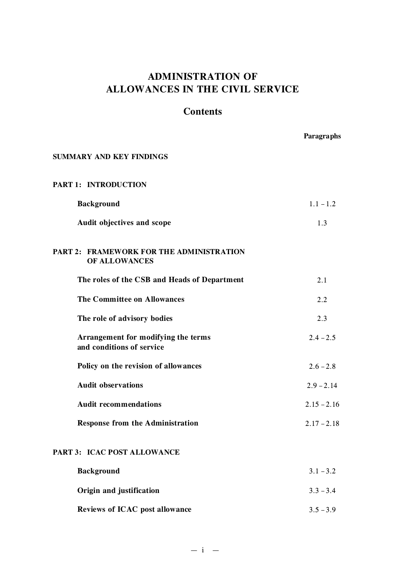# **ADMINISTRATION OF ALLOWANCES IN THE CIVIL SERVICE**

## **Contents**

|                                                                  | Paragraphs    |
|------------------------------------------------------------------|---------------|
| SUMMARY AND KEY FINDINGS                                         |               |
| <b>PART 1: INTRODUCTION</b>                                      |               |
| <b>Background</b>                                                | $1.1 - 1.2$   |
| Audit objectives and scope                                       | 1.3           |
| <b>PART 2: FRAMEWORK FOR THE ADMINISTRATION</b><br>OF ALLOWANCES |               |
| The roles of the CSB and Heads of Department                     | 2.1           |
| <b>The Committee on Allowances</b>                               | 2.2           |
| The role of advisory bodies                                      | 2.3           |
| Arrangement for modifying the terms<br>and conditions of service | $2.4 - 2.5$   |
| Policy on the revision of allowances                             | $2.6 - 2.8$   |
| <b>Audit observations</b>                                        | $2.9 - 2.14$  |
| <b>Audit recommendations</b>                                     | $2.15 - 2.16$ |
| <b>Response from the Administration</b>                          | $2.17 - 2.18$ |
| PART 3: ICAC POST ALLOWANCE                                      |               |
| <b>Background</b>                                                | $3.1 - 3.2$   |
| Origin and justification                                         | $3.3 - 3.4$   |

**Reviews of ICAC post allowance**  $3.5 - 3.9$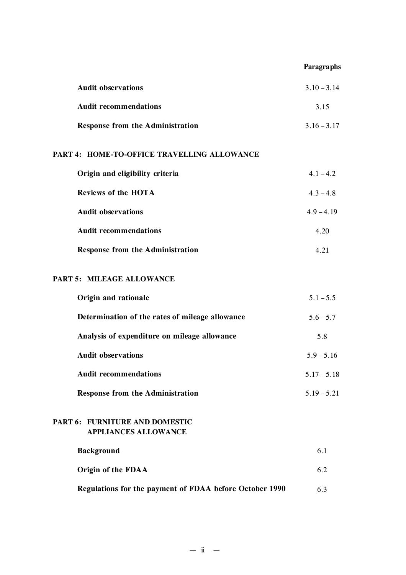## **Paragraphs**

| <b>Audit observations</b>               | $3.10 - 3.14$ |
|-----------------------------------------|---------------|
| <b>Audit recommendations</b>            | 3.15          |
| <b>Response from the Administration</b> | $3.16 - 3.17$ |

## **PART 4: HOME-TO-OFFICE TRAVELLING ALLOWANCE**

| Origin and eligibility criteria         | $4.1 - 4.2$  |
|-----------------------------------------|--------------|
| <b>Reviews of the HOTA</b>              | $4.3 - 4.8$  |
| <b>Audit observations</b>               | $4.9 - 4.19$ |
| <b>Audit recommendations</b>            | 4.20         |
| <b>Response from the Administration</b> | 4.21         |

## **PART 5: MILEAGE ALLOWANCE**

| Origin and rationale                            | $5.1 - 5.5$   |
|-------------------------------------------------|---------------|
| Determination of the rates of mileage allowance | $5.6 - 5.7$   |
| Analysis of expenditure on mileage allowance    | 5.8           |
| <b>Audit observations</b>                       | $5.9 - 5.16$  |
| <b>Audit recommendations</b>                    | $5.17 - 5.18$ |
| <b>Response from the Administration</b>         | $5.19 - 5.21$ |
|                                                 |               |

## **PART 6: FURNITURE AND DOMESTIC APPLIANCES ALLOWANCE**

| <b>Background</b>                                       | 6.1  |
|---------------------------------------------------------|------|
| Origin of the FDAA                                      | 6.2. |
| Regulations for the payment of FDAA before October 1990 | 6.3  |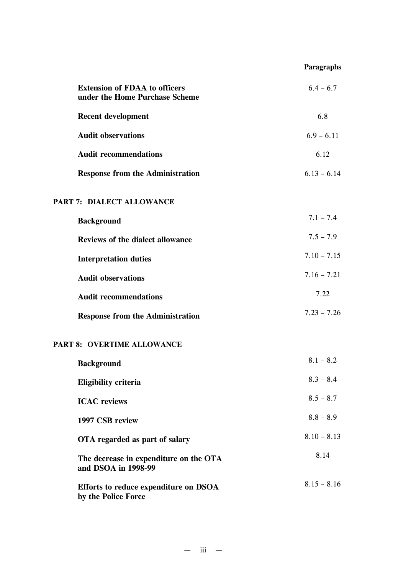## **Paragraphs**

| <b>Extension of FDAA to officers</b><br>under the Home Purchase Scheme | $6.4 - 6.7$   |
|------------------------------------------------------------------------|---------------|
| <b>Recent development</b>                                              | 6.8           |
| <b>Audit observations</b>                                              | $6.9 - 6.11$  |
| <b>Audit recommendations</b>                                           | 6.12          |
| <b>Response from the Administration</b>                                | $6.13 - 6.14$ |
| PART 7: DIALECT ALLOWANCE                                              |               |
| <b>Background</b>                                                      | $7.1 - 7.4$   |
| <b>Reviews of the dialect allowance</b>                                | $7.5 - 7.9$   |
| <b>Interpretation duties</b>                                           | $7.10 - 7.15$ |
| <b>Audit observations</b>                                              | $7.16 - 7.21$ |
| <b>Audit recommendations</b>                                           | 7.22          |
| <b>Response from the Administration</b>                                | $7.23 - 7.26$ |
| PART 8: OVERTIME ALLOWANCE                                             |               |
| <b>Background</b>                                                      | $8.1 - 8.2$   |
| <b>Eligibility criteria</b>                                            | $8.3 - 8.4$   |
| <b>ICAC</b> reviews                                                    | $8.5 - 8.7$   |
| 1997 CSB review                                                        | $8.8 - 8.9$   |
| OTA regarded as part of salary                                         | $8.10 - 8.13$ |
| The decrease in expenditure on the OTA<br>and DSOA in 1998-99          | 8.14          |
| Efforts to reduce expenditure on DSOA<br>by the Police Force           | $8.15 - 8.16$ |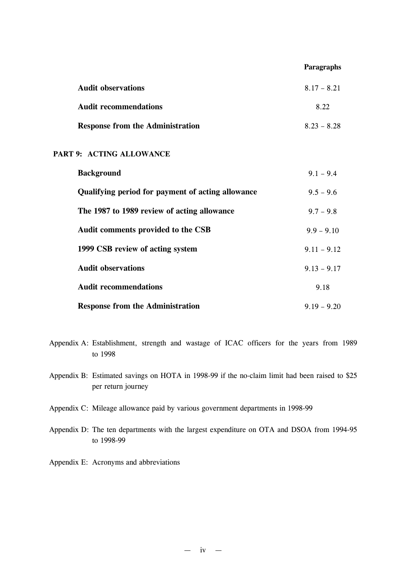#### **Paragraphs**

| <b>Audit observations</b>               | $8.17 - 8.21$ |
|-----------------------------------------|---------------|
| <b>Audit recommendations</b>            | 8.22          |
| <b>Response from the Administration</b> | $8.23 - 8.28$ |

## **PART 9: ACTING ALLOWANCE**

| <b>Background</b>                                 | $9.1 - 9.4$   |
|---------------------------------------------------|---------------|
| Qualifying period for payment of acting allowance | $9.5 - 9.6$   |
| The 1987 to 1989 review of acting allowance       | $9.7 - 9.8$   |
| Audit comments provided to the CSB                | $9.9 - 9.10$  |
| 1999 CSB review of acting system                  | $9.11 - 9.12$ |
| <b>Audit observations</b>                         | $9.13 - 9.17$ |
| <b>Audit recommendations</b>                      | 9.18          |
| <b>Response from the Administration</b>           | $9.19 - 9.20$ |

- Appendix A: Establishment, strength and wastage of ICAC officers for the years from 1989 to 1998
- Appendix B: Estimated savings on HOTA in 1998-99 if the no-claim limit had been raised to \$25 per return journey
- Appendix C: Mileage allowance paid by various government departments in 1998-99
- Appendix D: The ten departments with the largest expenditure on OTA and DSOA from 1994-95 to 1998-99
- Appendix E: Acronyms and abbreviations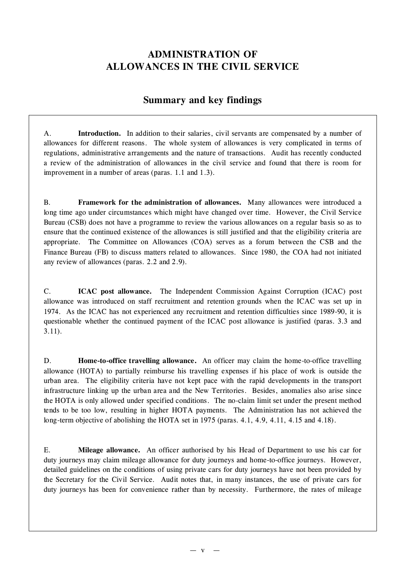## **ADMINISTRATION OF ALLOWANCES IN THE CIVIL SERVICE**

## **Summary and key findings**

A. **Introduction.** In addition to their salaries, civil servants are compensated by a number of allowances for different reasons. The whole system of allowances is very complicated in terms of regulations, administrative arrangements and the nature of transactions. Audit has recently conducted a review of the administration of allowances in the civil service and found that there is room for improvement in a number of areas (paras. 1.1 and 1.3).

B. **Framework for the administration of allowances.** Many allowances were introduced a long time ago under circumstances which might have changed over time. However, the Civil Service Bureau (CSB) does not have a programme to review the various allowances on a regular basis so as to ensure that the continued existence of the allowances is still justified and that the eligibility criteria are appropriate. The Committee on Allowances (COA) serves as a forum between the CSB and the Finance Bureau (FB) to discuss matters related to allowances. Since 1980, the COA had not initiated any review of allowances (paras. 2.2 and 2.9).

C. **ICAC post allowance.** The Independent Commission Against Corruption (ICAC) post allowance was introduced on staff recruitment and retention grounds when the ICAC was set up in 1974. As the ICAC has not experienced any recruitment and retention difficulties since 1989-90, it is questionable whether the continued payment of the ICAC post allowance is justified (paras. 3.3 and 3.11).

D. **Home-to-office travelling allowance.** An officer may claim the home-to-office travelling allowance (HOTA) to partially reimburse his travelling expenses if his place of work is outside the urban area. The eligibility criteria have not kept pace with the rapid developments in the transport infrastructure linking up the urban area and the New Territories. Besides, anomalies also arise since the HOTA is only allowed under specified conditions. The no-claim limit set under the present method tends to be too low, resulting in higher HOTA payments. The Administration has not achieved the long-term objective of abolishing the HOTA set in 1975 (paras. 4.1, 4.9, 4.11, 4.15 and 4.18).

E. **Mileage allowance.** An officer authorised by his Head of Department to use his car for duty journeys may claim mileage allowance for duty journeys and home-to-office journeys. However, detailed guidelines on the conditions of using private cars for duty journeys have not been provided by the Secretary for the Civil Service. Audit notes that, in many instances, the use of private cars for duty journeys has been for convenience rather than by necessity. Furthermore, the rates of mileage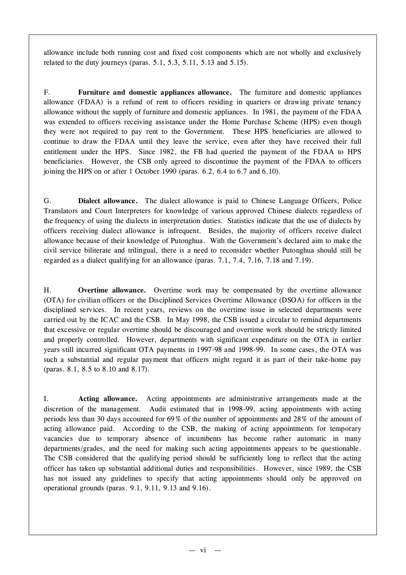allowance include both running cost and fixed cost components which are not wholly and exclusively related to the duty journeys (paras. 5.1, 5.3, 5.11, 5.13 and 5.15).

F. **Furniture and domestic appliances allowance.** The furniture and domestic appliances allowance (FDAA) is a refund of rent to officers residing in quarters or drawing private tenancy allowance without the supply of furniture and domestic appliances. In 1981, the payment of the FDAA was extended to officers receiving assistance under the Home Purchase Scheme (HPS) even though they were not required to pay rent to the Government. These HPS beneficiaries are allowed to continue to draw the FDAA until they leave the service, even after they have received their full entitlement under the HPS. Since 1982, the FB had queried the payment of the FDAA to HPS beneficiaries. However, the CSB only agreed to discontinue the payment of the FDAA to officers joining the HPS on or after 1 October 1990 (paras. 6.2, 6.4 to 6.7 and 6.10).

G. **Dialect allowance.** The dialect allowance is paid to Chinese Language Officers, Police Translators and Court Interpreters for knowledge of various approved Chinese dialects regardless of the frequency of using the dialects in interpretation duties. Statistics indicate that the use of dialects by officers receiving dialect allowance is infrequent. Besides, the majority of officers receive dialect allowance because of their knowledge of Putonghua. With the Government's declared aim to make the civil service biliterate and trilingual, there is a need to reconsider whether Putonghua should still be regarded as a dialect qualifying for an allowance (paras. 7.1, 7.4, 7.16, 7.18 and 7.19).

H. **Overtime allowance.** Overtime work may be compensated by the overtime allowance (OTA) for civilian officers or the Disciplined Services Overtime Allowance (DSOA) for officers in the disciplined services. In recent years, reviews on the overtime issue in selected departments were carried out by the ICAC and the CSB. In May 1998, the CSB issued a circular to remind departments that excessive or regular overtime should be discouraged and overtime work should be strictly limited and properly controlled. However, departments with significant expenditure on the OTA in earlier years still incurred significant OTA payments in 1997-98 and 1998-99. In some cases, the OTA was such a substantial and regular payment that officers might regard it as part of their take-home pay (paras. 8.1, 8.5 to 8.10 and 8.17).

I. **Acting allowance.** Acting appointments are administrative arrangements made at the discretion of the management. Audit estimated that in 1998-99, acting appointments with acting periods less than 30 days accounted for 69% of the number of appointments and 28% of the amount of acting allowance paid. According to the CSB, the making of acting appointments for temporary vacancies due to temporary absence of incumbents has become rather automatic in many departments/grades, and the need for making such acting appointments appears to be questionable. The CSB considered that the qualifying period should be sufficiently long to reflect that the acting officer has taken up substantial additional duties and responsibilities. However, since 1989, the CSB has not issued any guidelines to specify that acting appointments should only be approved on operational grounds (paras. 9.1, 9.11, 9.13 and 9.16).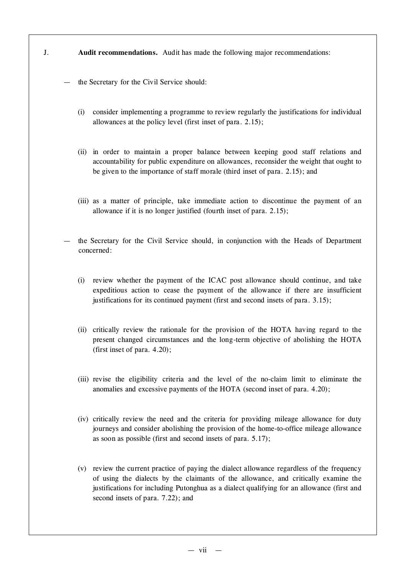- J. **Audit recommendations.** Audit has made the following major recommendations:
	- the Secretary for the Civil Service should:
		- (i) consider implementing a programme to review regularly the justifications for individual allowances at the policy level (first inset of para. 2.15);
		- (ii) in order to maintain a proper balance between keeping good staff relations and accountability for public expenditure on allowances, reconsider the weight that ought to be given to the importance of staff morale (third inset of para. 2.15); and
		- (iii) as a matter of principle, take immediate action to discontinue the payment of an allowance if it is no longer justified (fourth inset of para. 2.15);
	- the Secretary for the Civil Service should, in conjunction with the Heads of Department concerned:
		- (i) review whether the payment of the ICAC post allowance should continue, and take expeditious action to cease the payment of the allowance if there are insufficient justifications for its continued payment (first and second insets of para. 3.15);
		- (ii) critically review the rationale for the provision of the HOTA having regard to the present changed circumstances and the long-term objective of abolishing the HOTA (first inset of para. 4.20);
		- (iii) revise the eligibility criteria and the level of the no-claim limit to eliminate the anomalies and excessive payments of the HOTA (second inset of para. 4.20);
		- (iv) critically review the need and the criteria for providing mileage allowance for duty journeys and consider abolishing the provision of the home-to-office mileage allowance as soon as possible (first and second insets of para. 5.17);
		- (v) review the current practice of paying the dialect allowance regardless of the frequency of using the dialects by the claimants of the allowance, and critically examine the justifications for including Putonghua as a dialect qualifying for an allowance (first and second insets of para. 7.22); and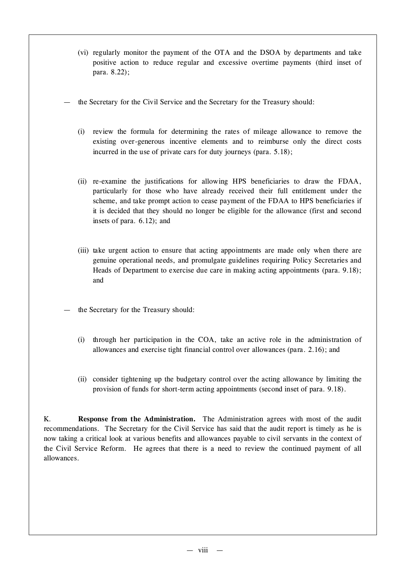- (vi) regularly monitor the payment of the OTA and the DSOA by departments and take positive action to reduce regular and excessive overtime payments (third inset of para. 8.22);
- the Secretary for the Civil Service and the Secretary for the Treasury should:
	- (i) review the formula for determining the rates of mileage allowance to remove the existing over-generous incentive elements and to reimburse only the direct costs incurred in the use of private cars for duty journeys (para. 5.18);
	- (ii) re-examine the justifications for allowing HPS beneficiaries to draw the FDAA, particularly for those who have already received their full entitlement under the scheme, and take prompt action to cease payment of the FDAA to HPS beneficiaries if it is decided that they should no longer be eligible for the allowance (first and second insets of para. 6.12); and
	- (iii) take urgent action to ensure that acting appointments are made only when there are genuine operational needs, and promulgate guidelines requiring Policy Secretaries and Heads of Department to exercise due care in making acting appointments (para. 9.18); and
- the Secretary for the Treasury should:
	- (i) through her participation in the COA, take an active role in the administration of allowances and exercise tight financial control over allowances (para. 2.16); and
	- (ii) consider tightening up the budgetary control over the acting allowance by limiting the provision of funds for short-term acting appointments (second inset of para. 9.18).

K. **Response from the Administration.** The Administration agrees with most of the audit recommendations. The Secretary for the Civil Service has said that the audit report is timely as he is now taking a critical look at various benefits and allowances payable to civil servants in the context of the Civil Service Reform. He agrees that there is a need to review the continued payment of all allowances.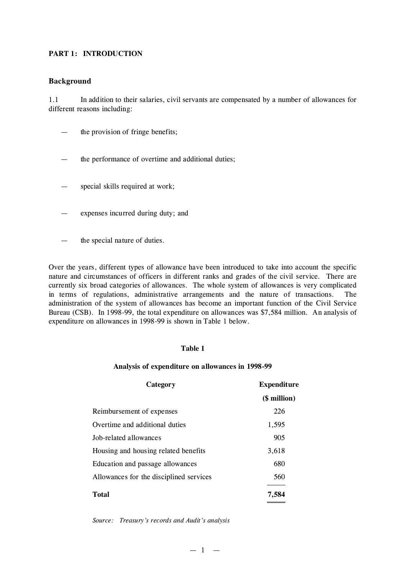## **PART 1: INTRODUCTION**

### **Background**

1.1 In addition to their salaries, civil servants are compensated by a number of allowances for different reasons including:

- the provision of fringe benefits;
- the performance of overtime and additional duties;
- special skills required at work;
- expenses incurred during duty; and
- the special nature of duties.

Over the years, different types of allowance have been introduced to take into account the specific nature and circumstances of officers in different ranks and grades of the civil service. There are currently six broad categories of allowances. The whole system of allowances is very complicated in terms of regulations, administrative arrangements and the nature of transactions. The administration of the system of allowances has become an important function of the Civil Service Bureau (CSB). In 1998-99, the total expenditure on allowances was \$7,584 million. An analysis of expenditure on allowances in 1998-99 is shown in Table 1 below.

## **Table 1**

#### **Analysis of expenditure on allowances in 1998-99**

| Category                                | <b>Expenditure</b> |  |
|-----------------------------------------|--------------------|--|
|                                         | (\$ million)       |  |
| Reimbursement of expenses               | 226                |  |
| Overtime and additional duties          | 1,595              |  |
| Job-related allowances                  | 905                |  |
| Housing and housing related benefits    | 3,618              |  |
| Education and passage allowances        | 680                |  |
| Allowances for the disciplined services | 560                |  |
| <b>Total</b>                            | 7.584              |  |

*Source: Treasury's records and Audit's analysis*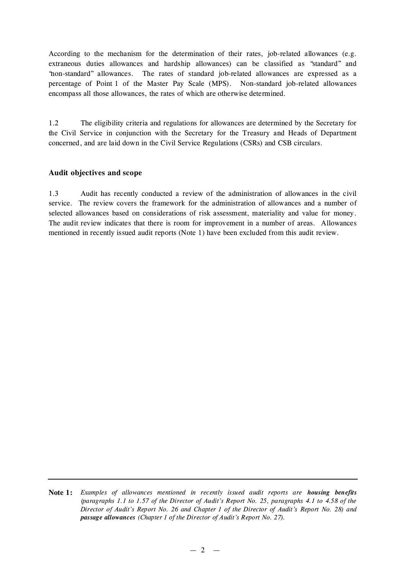According to the mechanism for the determination of their rates, job-related allowances (e.g. extraneous duties allowances and hardship allowances) can be classified as "standard" and "non-standard" allowances. The rates of standard job-related allowances are expressed as a percentage of Point 1 of the Master Pay Scale (MPS). Non-standard job-related allowances encompass all those allowances, the rates of which are otherwise determined.

1.2 The eligibility criteria and regulations for allowances are determined by the Secretary for the Civil Service in conjunction with the Secretary for the Treasury and Heads of Department concerned, and are laid down in the Civil Service Regulations (CSRs) and CSB circulars.

## **Audit objectives and scope**

1.3 Audit has recently conducted a review of the administration of allowances in the civil service. The review covers the framework for the administration of allowances and a number of selected allowances based on considerations of risk assessment, materiality and value for money. The audit review indicates that there is room for improvement in a number of areas. Allowances mentioned in recently issued audit reports (Note 1) have been excluded from this audit review.

**Note 1:** *Examples of allowances mentioned in recently issued audit reports are housing benefits (paragraphs 1.1 to 1.57 of the Director of Audit's Report No. 25, paragraphs 4.1 to 4.58 of the Director of Audit's Report No. 26 and Chapter 1 of the Director of Audit's Report No. 28) and passage allowances (Chapter 1 of the Director of Audit's Report No. 27).*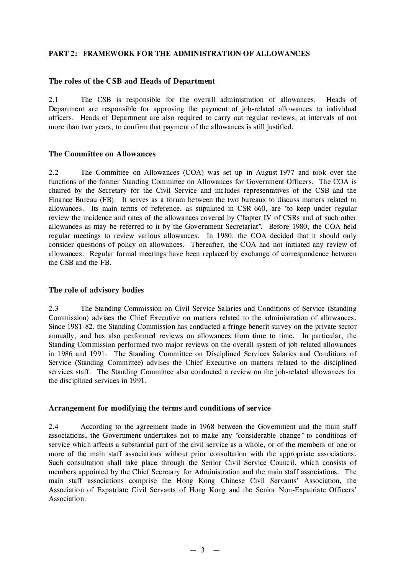## **PART 2: FRAMEWORK FOR THE ADMINISTRATION OF ALLOWANCES**

### **The roles of the CSB and Heads of Department**

2.1 The CSB is responsible for the overall administration of allowances. Heads of Department are responsible for approving the payment of job-related allowances to individual officers. Heads of Department are also required to carry out regular reviews, at intervals of not more than two years, to confirm that payment of the allowances is still justified.

## **The Committee on Allowances**

2.2 The Committee on Allowances (COA) was set up in August 1977 and took over the functions of the former Standing Committee on Allowances for Government Officers. The COA is chaired by the Secretary for the Civil Service and includes representatives of the CSB and the Finance Bureau (FB). It serves as a forum between the two bureaux to discuss matters related to allowances. Its main terms of reference, as stipulated in CSR 660, are "to keep under regular review the incidence and rates of the allowances covered by Chapter IV of CSRs and of such other allowances as may be referred to it by the Government Secretariat". Before 1980, the COA held regular meetings to review various allowances. In 1980, the COA decided that it should only consider questions of policy on allowances. Thereafter, the COA had not initiated any review of allowances. Regular formal meetings have been replaced by exchange of correspondence between the CSB and the FB.

## **The role of advisory bodies**

2.3 The Standing Commission on Civil Service Salaries and Conditions of Service (Standing Commission) advises the Chief Executive on matters related to the administration of allowances. Since 1981-82, the Standing Commission has conducted a fringe benefit survey on the private sector annually, and has also performed reviews on allowances from time to time. In particular, the Standing Commission performed two major reviews on the overall system of job-related allowances in 1986 and 1991. The Standing Committee on Disciplined Services Salaries and Conditions of Service (Standing Committee) advises the Chief Executive on matters related to the disciplined services staff. The Standing Committee also conducted a review on the job-related allowances for the disciplined services in 1991.

### **Arrangement for modifying the terms and conditions of service**

2.4 According to the agreement made in 1968 between the Government and the main staff associations, the Government undertakes not to make any "considerable change" to conditions of service which affects a substantial part of the civil service as a whole, or of the members of one or more of the main staff associations without prior consultation with the appropriate associations. Such consultation shall take place through the Senior Civil Service Council, which consists of members appointed by the Chief Secretary for Administration and the main staff associations. The main staff associations comprise the Hong Kong Chinese Civil Servants' Association, the Association of Expatriate Civil Servants of Hong Kong and the Senior Non-Expatriate Officers' Association.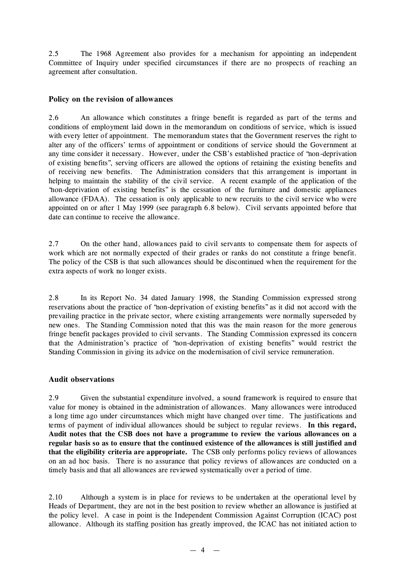2.5 The 1968 Agreement also provides for a mechanism for appointing an independent Committee of Inquiry under specified circumstances if there are no prospects of reaching an agreement after consultation.

## **Policy on the revision of allowances**

2.6 An allowance which constitutes a fringe benefit is regarded as part of the terms and conditions of employment laid down in the memorandum on conditions of service, which is issued with every letter of appointment. The memorandum states that the Government reserves the right to alter any of the officers' terms of appointment or conditions of service should the Government at any time consider it necessary. However, under the CSB's established practice of "non-deprivation of existing benefits", serving officers are allowed the options of retaining the existing benefits and of receiving new benefits. The Administration considers that this arrangement is important in helping to maintain the stability of the civil service. A recent example of the application of the "non-deprivation of existing benefits" is the cessation of the furniture and domestic appliances allowance (FDAA). The cessation is only applicable to new recruits to the civil service who were appointed on or after 1 May 1999 (see paragraph 6.8 below). Civil servants appointed before that date can continue to receive the allowance.

2.7 On the other hand, allowances paid to civil servants to compensate them for aspects of work which are not normally expected of their grades or ranks do not constitute a fringe benefit. The policy of the CSB is that such allowances should be discontinued when the requirement for the extra aspects of work no longer exists.

2.8 In its Report No. 34 dated January 1998, the Standing Commission expressed strong reservations about the practice of "non-deprivation of existing benefits" as it did not accord with the prevailing practice in the private sector, where existing arrangements were normally superseded by new ones. The Standing Commission noted that this was the main reason for the more generous fringe benefit packages provided to civil servants. The Standing Commission expressed its concern that the Administration's practice of "non-deprivation of existing benefits" would restrict the Standing Commission in giving its advice on the modernisation of civil service remuneration.

### **Audit observations**

2.9 Given the substantial expenditure involved, a sound framework is required to ensure that value for money is obtained in the administration of allowances. Many allowances were introduced a long time ago under circumstances which might have changed over time. The justifications and terms of payment of individual allowances should be subject to regular reviews. **In this regard, Audit notes that the CSB does not have a programme to review the various allowances on a regular basis so as to ensure that the continued existence of the allowances is still justified and that the eligibility criteria are appropriate.** The CSB only performs policy reviews of allowances on an ad hoc basis. There is no assurance that policy reviews of allowances are conducted on a timely basis and that all allowances are reviewed systematically over a period of time.

2.10 Although a system is in place for reviews to be undertaken at the operational level by Heads of Department, they are not in the best position to review whether an allowance is justified at the policy level. A case in point is the Independent Commission Against Corruption (ICAC) post allowance. Although its staffing position has greatly improved, the ICAC has not initiated action to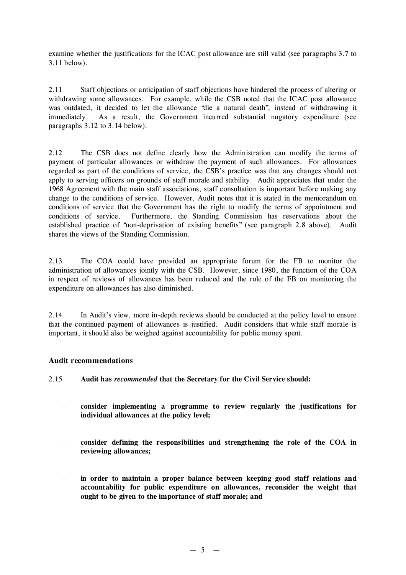examine whether the justifications for the ICAC post allowance are still valid (see paragraphs 3.7 to 3.11 below).

2.11 Staff objections or anticipation of staff objections have hindered the process of altering or withdrawing some allowances. For example, while the CSB noted that the ICAC post allowance was outdated, it decided to let the allowance "die a natural death", instead of withdrawing it immediately. As a result, the Government incurred substantial nugatory expenditure (see paragraphs 3.12 to 3.14 below).

2.12 The CSB does not define clearly how the Administration can modify the terms of payment of particular allowances or withdraw the payment of such allowances. For allowances regarded as part of the conditions of service, the CSB's practice was that any changes should not apply to serving officers on grounds of staff morale and stability. Audit appreciates that under the 1968 Agreement with the main staff associations, staff consultation is important before making any change to the conditions of service. However, Audit notes that it is stated in the memorandum on conditions of service that the Government has the right to modify the terms of appointment and conditions of service. Furthermore, the Standing Commission has reservations about the established practice of "non-deprivation of existing benefits" (see paragraph 2.8 above). Audit shares the views of the Standing Commission.

2.13 The COA could have provided an appropriate forum for the FB to monitor the administration of allowances jointly with the CSB. However, since 1980, the function of the COA in respect of reviews of allowances has been reduced and the role of the FB on monitoring the expenditure on allowances has also diminished.

2.14 In Audit's view, more in-depth reviews should be conducted at the policy level to ensure that the continued payment of allowances is justified. Audit considers that while staff morale is important, it should also be weighed against accountability for public money spent.

## **Audit recommendations**

2.15 **Audit has** *recommended* **that the Secretary for the Civil Service should:**

- **consider implementing a programme to review regularly the justifications for individual allowances at the policy level;**
- **consider defining the responsibilities and strengthening the role of the COA in reviewing allowances;**
- **in order to maintain a proper balance between keeping good staff relations and accountability for public expenditure on allowances, reconsider the weight that ought to be given to the importance of staff morale; and**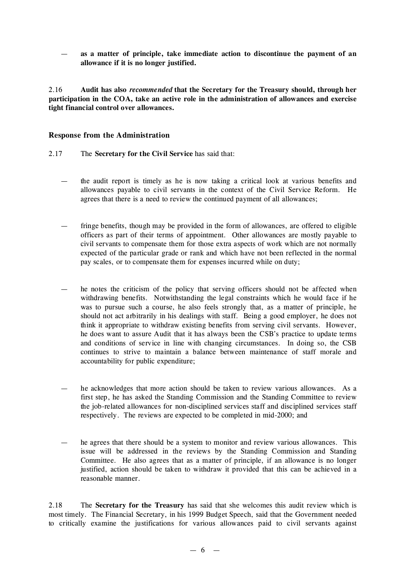— **as a matter of principle, take immediate action to discontinue the payment of an allowance if it is no longer justified.**

2.16 **Audit has also** *recommended* **that the Secretary for the Treasury should, through her participation in the COA, take an active role in the administration of allowances and exercise tight financial control over allowances.**

## **Response from the Administration**

- 2.17 The **Secretary for the Civil Service** has said that:
	- the audit report is timely as he is now taking a critical look at various benefits and allowances payable to civil servants in the context of the Civil Service Reform. He agrees that there is a need to review the continued payment of all allowances;
	- fringe benefits, though may be provided in the form of allowances, are offered to eligible officers as part of their terms of appointment. Other allowances are mostly payable to civil servants to compensate them for those extra aspects of work which are not normally expected of the particular grade or rank and which have not been reflected in the normal pay scales, or to compensate them for expenses incurred while on duty;
	- he notes the criticism of the policy that serving officers should not be affected when withdrawing benefits. Notwithstanding the legal constraints which he would face if he was to pursue such a course, he also feels strongly that, as a matter of principle, he should not act arbitrarily in his dealings with staff. Being a good employer, he does not think it appropriate to withdraw existing benefits from serving civil servants. However, he does want to assure Audit that it has always been the CSB's practice to update terms and conditions of service in line with changing circumstances. In doing so, the CSB continues to strive to maintain a balance between maintenance of staff morale and accountability for public expenditure;
	- he acknowledges that more action should be taken to review various allowances. As a first step, he has asked the Standing Commission and the Standing Committee to review the job-related allowances for non-disciplined services staff and disciplined services staff respectively. The reviews are expected to be completed in mid-2000; and
	- he agrees that there should be a system to monitor and review various allowances. This issue will be addressed in the reviews by the Standing Commission and Standing Committee. He also agrees that as a matter of principle, if an allowance is no longer justified, action should be taken to withdraw it provided that this can be achieved in a reasonable manner.

2.18 The **Secretary for the Treasury** has said that she welcomes this audit review which is most timely. The Financial Secretary, in his 1999 Budget Speech, said that the Government needed to critically examine the justifications for various allowances paid to civil servants against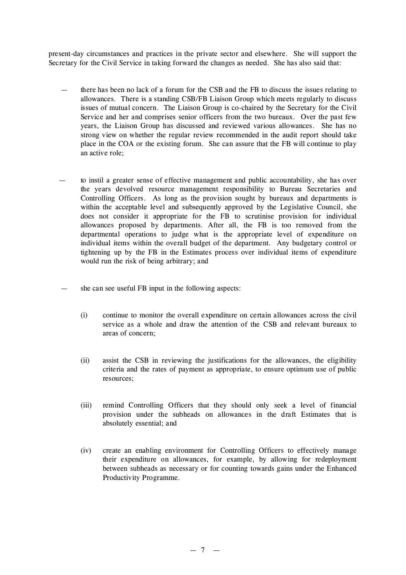present-day circumstances and practices in the private sector and elsewhere. She will support the Secretary for the Civil Service in taking forward the changes as needed. She has also said that:

- there has been no lack of a forum for the CSB and the FB to discuss the issues relating to allowances. There is a standing CSB/FB Liaison Group which meets regularly to discuss issues of mutual concern. The Liaison Group is co-chaired by the Secretary for the Civil Service and her and comprises senior officers from the two bureaux. Over the past few years, the Liaison Group has discussed and reviewed various allowances. She has no strong view on whether the regular review recommended in the audit report should take place in the COA or the existing forum. She can assure that the FB will continue to play an active role;
- to instil a greater sense of effective management and public accountability, she has over the years devolved resource management responsibility to Bureau Secretaries and Controlling Officers. As long as the provision sought by bureaux and departments is within the acceptable level and subsequently approved by the Legislative Council, she does not consider it appropriate for the FB to scrutinise provision for individual allowances proposed by departments. After all, the FB is too removed from the departmental operations to judge what is the appropriate level of expenditure on individual items within the overall budget of the department. Any budgetary control or tightening up by the FB in the Estimates process over individual items of expenditure would run the risk of being arbitrary; and
- she can see useful FB input in the following aspects:
	- (i) continue to monitor the overall expenditure on certain allowances across the civil service as a whole and draw the attention of the CSB and relevant bureaux to areas of concern;
	- (ii) assist the CSB in reviewing the justifications for the allowances, the eligibility criteria and the rates of payment as appropriate, to ensure optimum use of public resources;
	- (iii) remind Controlling Officers that they should only seek a level of financial provision under the subheads on allowances in the draft Estimates that is absolutely essential; and
	- (iv) create an enabling environment for Controlling Officers to effectively manage their expenditure on allowances, for example, by allowing for redeployment between subheads as necessary or for counting towards gains under the Enhanced Productivity Programme.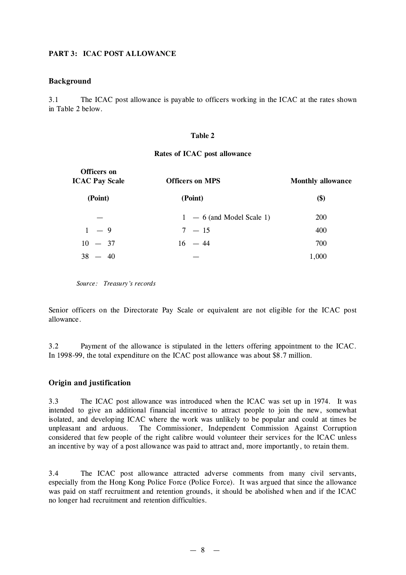## **PART 3: ICAC POST ALLOWANCE**

### **Background**

3.1 The ICAC post allowance is payable to officers working in the ICAC at the rates shown in Table 2 below.

#### **Table 2**

#### **Rates of ICAC post allowance**

| Officers on<br><b>ICAC Pay Scale</b> | <b>Officers on MPS</b>      | <b>Monthly allowance</b> |
|--------------------------------------|-----------------------------|--------------------------|
| (Point)                              | (Point)                     | \$)                      |
|                                      | $1 - 6$ (and Model Scale 1) | <b>200</b>               |
| $1 - 9$                              | $7 - 15$                    | 400                      |
| $10 - 37$                            | $16 - 44$                   | 700                      |
| $38 - 40$                            |                             | 1,000                    |
|                                      |                             |                          |

*Source: Treasury's records*

Senior officers on the Directorate Pay Scale or equivalent are not eligible for the ICAC post allowance.

3.2 Payment of the allowance is stipulated in the letters offering appointment to the ICAC. In 1998-99, the total expenditure on the ICAC post allowance was about \$8.7 million.

## **Origin and justification**

3.3 The ICAC post allowance was introduced when the ICAC was set up in 1974. It was intended to give an additional financial incentive to attract people to join the new, somewhat isolated, and developing ICAC where the work was unlikely to be popular and could at times be unpleasant and arduous. The Commissioner, Independent Commission Against Corruption considered that few people of the right calibre would volunteer their services for the ICAC unless an incentive by way of a post allowance was paid to attract and, more importantly, to retain them.

3.4 The ICAC post allowance attracted adverse comments from many civil servants, especially from the Hong Kong Police Force (Police Force). It was argued that since the allowance was paid on staff recruitment and retention grounds, it should be abolished when and if the ICAC no longer had recruitment and retention difficulties.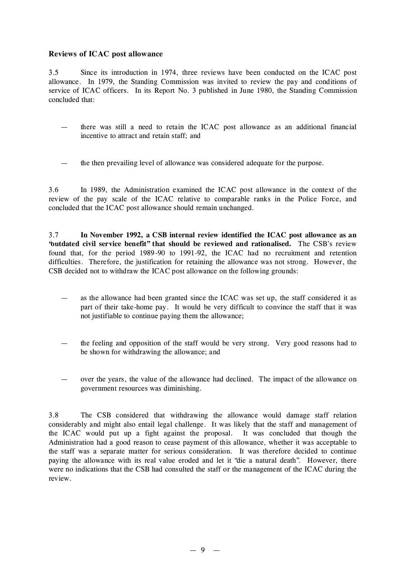## **Reviews of ICAC post allowance**

3.5 Since its introduction in 1974, three reviews have been conducted on the ICAC post allowance. In 1979, the Standing Commission was invited to review the pay and conditions of service of ICAC officers. In its Report No. 3 published in June 1980, the Standing Commission concluded that:

- there was still a need to retain the ICAC post allowance as an additional financial incentive to attract and retain staff; and
- the then prevailing level of allowance was considered adequate for the purpose.

3.6 In 1989, the Administration examined the ICAC post allowance in the context of the review of the pay scale of the ICAC relative to comparable ranks in the Police Force, and concluded that the ICAC post allowance should remain unchanged.

3.7 **In November 1992, a CSB internal review identified the ICAC post allowance as an "outdated civil service benefit" that should be reviewed and rationalised.** The CSB's review found that, for the period 1989-90 to 1991-92, the ICAC had no recruitment and retention difficulties. Therefore, the justification for retaining the allowance was not strong. However, the CSB decided not to withdraw the ICAC post allowance on the following grounds:

- as the allowance had been granted since the ICAC was set up, the staff considered it as part of their take-home pay. It would be very difficult to convince the staff that it was not justifiable to continue paying them the allowance;
- the feeling and opposition of the staff would be very strong. Very good reasons had to be shown for withdrawing the allowance; and
- over the years, the value of the allowance had declined. The impact of the allowance on government resources was diminishing.

3.8 The CSB considered that withdrawing the allowance would damage staff relation considerably and might also entail legal challenge. It was likely that the staff and management of the ICAC would put up a fight against the proposal. It was concluded that though the Administration had a good reason to cease payment of this allowance, whether it was acceptable to the staff was a separate matter for serious consideration. It was therefore decided to continue paying the allowance with its real value eroded and let it "die a natural death". However, there were no indications that the CSB had consulted the staff or the management of the ICAC during the review.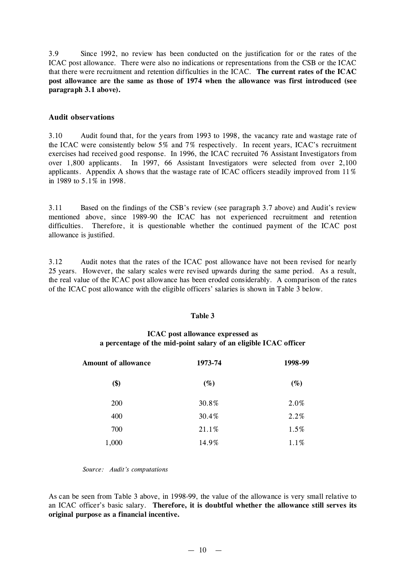3.9 Since 1992, no review has been conducted on the justification for or the rates of the ICAC post allowance. There were also no indications or representations from the CSB or the ICAC that there were recruitment and retention difficulties in the ICAC. **The current rates of the ICAC post allowance are the same as those of 1974 when the allowance was first introduced (see paragraph 3.1 above).**

#### **Audit observations**

3.10 Audit found that, for the years from 1993 to 1998, the vacancy rate and wastage rate of the ICAC were consistently below 5% and 7% respectively. In recent years, ICAC's recruitment exercises had received good response. In 1996, the ICAC recruited 76 Assistant Investigators from over 1,800 applicants. In 1997, 66 Assistant Investigators were selected from over 2,100 applicants. Appendix A shows that the wastage rate of ICAC officers steadily improved from 11% in 1989 to 5.1% in 1998.

3.11 Based on the findings of the CSB's review (see paragraph 3.7 above) and Audit's review mentioned above, since 1989-90 the ICAC has not experienced recruitment and retention difficulties. Therefore, it is questionable whether the continued payment of the ICAC post allowance is justified.

3.12 Audit notes that the rates of the ICAC post allowance have not been revised for nearly 25 years. However, the salary scales were revised upwards during the same period. As a result, the real value of the ICAC post allowance has been eroded considerably. A comparison of the rates of the ICAC post allowance with the eligible officers'salaries is shown in Table 3 below.

#### **Table 3**

## **ICAC post allowance expressed as a percentage of the mid-point salary of an eligible ICAC officer**

| <b>Amount of allowance</b> | 1973-74 | 1998-99 |
|----------------------------|---------|---------|
| \$)                        | $(\%)$  | $(\%)$  |
| <b>200</b>                 | 30.8%   | 2.0%    |
| 400                        | 30.4%   | 2.2%    |
| 700                        | 21.1%   | 1.5%    |
| 1,000                      | 14.9%   | 1.1%    |

#### *Source: Audit's computations*

As can be seen from Table 3 above, in 1998-99, the value of the allowance is very small relative to an ICAC officer's basic salary. **Therefore, it is doubtful whether the allowance still serves its original purpose as a financial incentive.**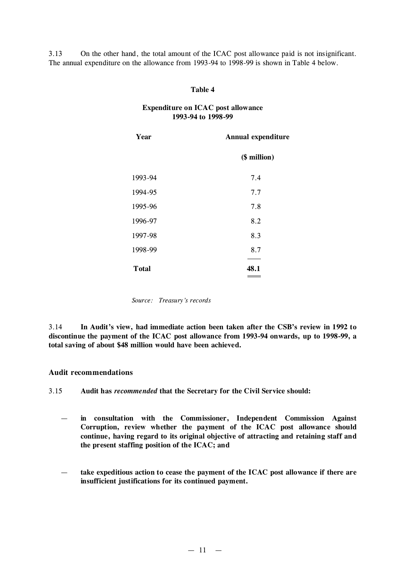3.13 On the other hand, the total amount of the ICAC post allowance paid is not insignificant. The annual expenditure on the allowance from 1993-94 to 1998-99 is shown in Table 4 below.

#### **Table 4**

### **Expenditure on ICAC post allowance 1993-94 to 1998-99**

| Year         | <b>Annual expenditure</b> |
|--------------|---------------------------|
|              | (\$ million)              |
| 1993-94      | 7.4                       |
| 1994-95      | 7.7                       |
| 1995-96      | 7.8                       |
| 1996-97      | 8.2                       |
| 1997-98      | 8.3                       |
| 1998-99      | 8.7                       |
| <b>Total</b> | 48.1                      |

*Source: Treasury's records*

3.14 **In Audit's view, had immediate action been taken after the CSB's review in 1992 to discontinue the payment of the ICAC post allowance from 1993-94 onwards, up to 1998-99, a total saving of about \$48 million would have been achieved.**

#### **Audit recommendations**

3.15 **Audit has** *recommended* **that the Secretary for the Civil Service should:**

- **in consultation with the Commissioner, Independent Commission Against Corruption, review whether the payment of the ICAC post allowance should continue, having regard to its original objective of attracting and retaining staff and the present staffing position of the ICAC; and**
- **take expeditious action to cease the payment of the ICAC post allowance if there are insufficient justifications for its continued payment.**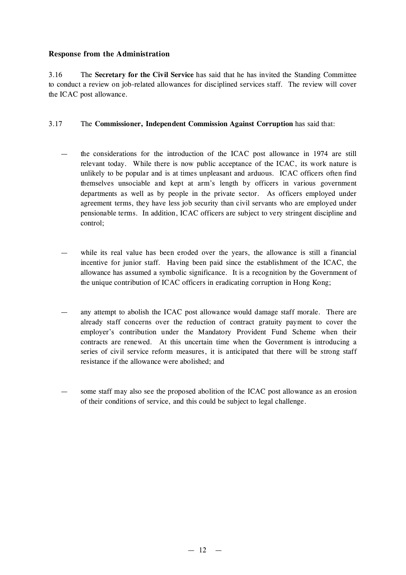## **Response from the Administration**

3.16 The **Secretary for the Civil Service** has said that he has invited the Standing Committee to conduct a review on job-related allowances for disciplined services staff. The review will cover the ICAC post allowance.

## 3.17 The **Commissioner, Independent Commission Against Corruption** has said that:

- the considerations for the introduction of the ICAC post allowance in 1974 are still relevant today. While there is now public acceptance of the ICAC, its work nature is unlikely to be popular and is at times unpleasant and arduous. ICAC officers often find themselves unsociable and kept at arm's length by officers in various government departments as well as by people in the private sector. As officers employed under agreement terms, they have less job security than civil servants who are employed under pensionable terms. In addition, ICAC officers are subject to very stringent discipline and control;
- while its real value has been eroded over the years, the allowance is still a financial incentive for junior staff. Having been paid since the establishment of the ICAC, the allowance has assumed a symbolic significance. It is a recognition by the Government of the unique contribution of ICAC officers in eradicating corruption in Hong Kong;
- any attempt to abolish the ICAC post allowance would damage staff morale. There are already staff concerns over the reduction of contract gratuity payment to cover the employer's contribution under the Mandatory Provident Fund Scheme when their contracts are renewed. At this uncertain time when the Government is introducing a series of civil service reform measures, it is anticipated that there will be strong staff resistance if the allowance were abolished; and
- some staff may also see the proposed abolition of the ICAC post allowance as an erosion of their conditions of service, and this could be subject to legal challenge.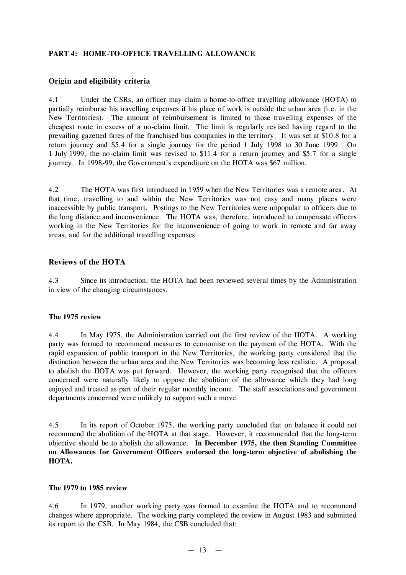## **PART 4: HOME-TO-OFFICE TRAVELLING ALLOWANCE**

## **Origin and eligibility criteria**

4.1 Under the CSRs, an officer may claim a home-to-office travelling allowance (HOTA) to partially reimburse his travelling expenses if his place of work is outside the urban area (i.e. in the New Territories). The amount of reimbursement is limited to those travelling expenses of the cheapest route in excess of a no-claim limit. The limit is regularly revised having regard to the prevailing gazetted fares of the franchised bus companies in the territory. It was set at \$10.8 for a return journey and \$5.4 for a single journey for the period 1 July 1998 to 30 June 1999. On 1 July 1999, the no-claim limit was revised to \$11.4 for a return journey and \$5.7 for a single journey. In 1998-99, the Government's expenditure on the HOTA was \$67 million.

4.2 The HOTA was first introduced in 1959 when the New Territories was a remote area. At that time, travelling to and within the New Territories was not easy and many places were inaccessible by public transport. Postings to the New Territories were unpopular to officers due to the long distance and inconvenience. The HOTA was, therefore, introduced to compensate officers working in the New Territories for the inconvenience of going to work in remote and far away areas, and for the additional travelling expenses.

## **Reviews of the HOTA**

4.3 Since its introduction, the HOTA had been reviewed several times by the Administration in view of the changing circumstances.

### **The 1975 review**

4.4 In May 1975, the Administration carried out the first review of the HOTA. A working party was formed to recommend measures to economise on the payment of the HOTA. With the rapid expansion of public transport in the New Territories, the working party considered that the distinction between the urban area and the New Territories was becoming less realistic. A proposal to abolish the HOTA was put forward. However, the working party recognised that the officers concerned were naturally likely to oppose the abolition of the allowance which they had long enjoyed and treated as part of their regular monthly income. The staff associations and government departments concerned were unlikely to support such a move.

4.5 In its report of October 1975, the working party concluded that on balance it could not recommend the abolition of the HOTA at that stage. However, it recommended that the long-term objective should be to abolish the allowance. **In December 1975, the then Standing Committee on Allowances for Government Officers endorsed the long-term objective of abolishing the HOTA.**

### **The 1979 to 1985 review**

4.6 In 1979, another working party was formed to examine the HOTA and to recommend changes where appropriate. The working party completed the review in August 1983 and submitted its report to the CSB. In May 1984, the CSB concluded that: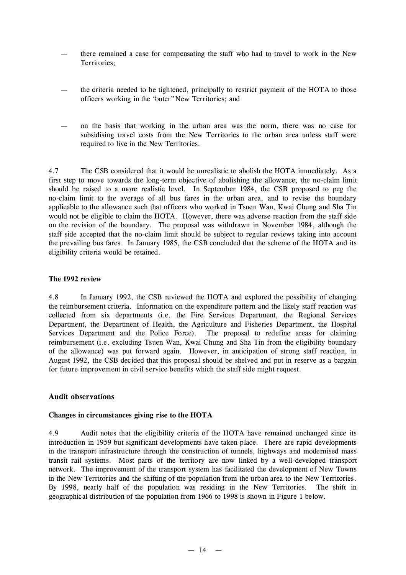- there remained a case for compensating the staff who had to travel to work in the New Territories;
- the criteria needed to be tightened, principally to restrict payment of the HOTA to those officers working in the "outer"New Territories; and
- on the basis that working in the urban area was the norm, there was no case for subsidising travel costs from the New Territories to the urban area unless staff were required to live in the New Territories.

4.7 The CSB considered that it would be unrealistic to abolish the HOTA immediately. As a first step to move towards the long-term objective of abolishing the allowance, the no-claim limit should be raised to a more realistic level. In September 1984, the CSB proposed to peg the no-claim limit to the average of all bus fares in the urban area, and to revise the boundary applicable to the allowance such that officers who worked in Tsuen Wan, Kwai Chung and Sha Tin would not be eligible to claim the HOTA. However, there was adverse reaction from the staff side on the revision of the boundary. The proposal was withdrawn in November 1984, although the staff side accepted that the no-claim limit should be subject to regular reviews taking into account the prevailing bus fares. In January 1985, the CSB concluded that the scheme of the HOTA and its eligibility criteria would be retained.

## **The 1992 review**

4.8 In January 1992, the CSB reviewed the HOTA and explored the possibility of changing the reimbursement criteria. Information on the expenditure pattern and the likely staff reaction was collected from six departments (i.e. the Fire Services Department, the Regional Services Department, the Department of Health, the Agriculture and Fisheries Department, the Hospital Services Department and the Police Force). The proposal to redefine areas for claiming reimbursement (i.e. excluding Tsuen Wan, Kwai Chung and Sha Tin from the eligibility boundary of the allowance) was put forward again. However, in anticipation of strong staff reaction, in August 1992, the CSB decided that this proposal should be shelved and put in reserve as a bargain for future improvement in civil service benefits which the staff side might request.

## **Audit observations**

### **Changes in circumstances giving rise to the HOTA**

4.9 Audit notes that the eligibility criteria of the HOTA have remained unchanged since its introduction in 1959 but significant developments have taken place. There are rapid developments in the transport infrastructure through the construction of tunnels, highways and modernised mass transit rail systems. Most parts of the territory are now linked by a well-developed transport network. The improvement of the transport system has facilitated the development of New Towns in the New Territories and the shifting of the population from the urban area to the New Territories. By 1998, nearly half of the population was residing in the New Territories. The shift in geographical distribution of the population from 1966 to 1998 is shown in Figure 1 below.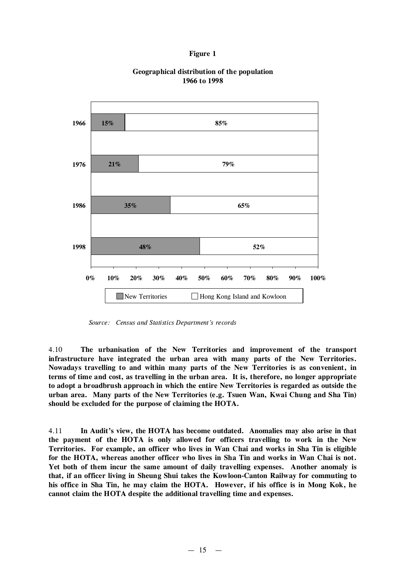#### **Figure 1**



### **Geographical distribution of the population 1966 to 1998**

*Source: Census and Statistics Department's records*

4.10 **The urbanisation of the New Territories and improvement of the transport infrastructure have integrated the urban area with many parts of the New Territories. Nowadays travelling to and within many parts of the New Territories is as convenient, in terms of time and cost, as travelling in the urban area. It is, therefore, no longer appropriate to adopt a broadbrush approach in which the entire New Territories is regarded as outside the urban area. Many parts of the New Territories (e.g. Tsuen Wan, Kwai Chung and Sha Tin) should be excluded for the purpose of claiming the HOTA.**

4.11 **In Audit's view, the HOTA has become outdated. Anomalies may also arise in that the payment of the HOTA is only allowed for officers travelling to work in the New Territories. For example, an officer who lives in Wan Chai and works in Sha Tin is eligible for the HOTA, whereas another officer who lives in Sha Tin and works in Wan Chai is not. Yet both of them incur the same amount of daily travelling expenses. Another anomaly is that, if an officer living in Sheung Shui takes the Kowloon-Canton Railway for commuting to his office in Sha Tin, he may claim the HOTA. However, if his office is in Mong Kok, he cannot claim the HOTA despite the additional travelling time and expenses.**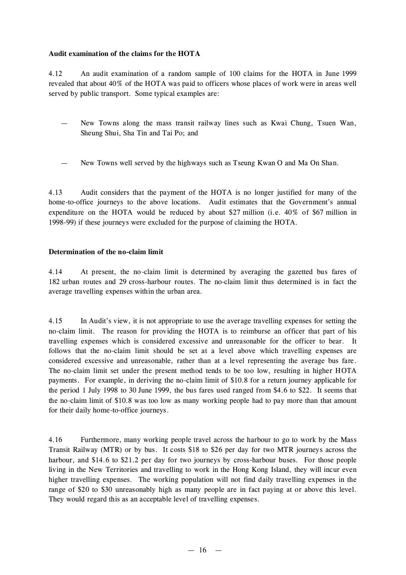## **Audit examination of the claims for the HOTA**

4.12 An audit examination of a random sample of 100 claims for the HOTA in June 1999 revealed that about 40% of the HOTA was paid to officers whose places of work were in areas well served by public transport. Some typical examples are:

- New Towns along the mass transit railway lines such as Kwai Chung, Tsuen Wan, Sheung Shui, Sha Tin and Tai Po; and
- New Towns well served by the highways such as Tseung Kwan O and Ma On Shan.

4.13 Audit considers that the payment of the HOTA is no longer justified for many of the home-to-office journeys to the above locations. Audit estimates that the Government's annual expenditure on the HOTA would be reduced by about \$27 million (i.e. 40% of \$67 million in 1998-99) if these journeys were excluded for the purpose of claiming the HOTA.

## **Determination of the no-claim limit**

4.14 At present, the no-claim limit is determined by averaging the gazetted bus fares of 182 urban routes and 29 cross-harbour routes. The no-claim limit thus determined is in fact the average travelling expenses within the urban area.

4.15 In Audit's view, it is not appropriate to use the average travelling expenses for setting the no-claim limit. The reason for providing the HOTA is to reimburse an officer that part of his travelling expenses which is considered excessive and unreasonable for the officer to bear. It follows that the no-claim limit should be set at a level above which travelling expenses are considered excessive and unreasonable, rather than at a level representing the average bus fare. The no-claim limit set under the present method tends to be too low, resulting in higher HOTA payments. For example, in deriving the no-claim limit of \$10.8 for a return journey applicable for the period 1 July 1998 to 30 June 1999, the bus fares used ranged from \$4.6 to \$22. It seems that the no-claim limit of \$10.8 was too low as many working people had to pay more than that amount for their daily home-to-office journeys.

4.16 Furthermore, many working people travel across the harbour to go to work by the Mass Transit Railway (MTR) or by bus. It costs \$18 to \$26 per day for two MTR journeys across the harbour, and \$14.6 to \$21.2 per day for two journeys by cross-harbour buses. For those people living in the New Territories and travelling to work in the Hong Kong Island, they will incur even higher travelling expenses. The working population will not find daily travelling expenses in the range of \$20 to \$30 unreasonably high as many people are in fact paying at or above this level. They would regard this as an acceptable level of travelling expenses.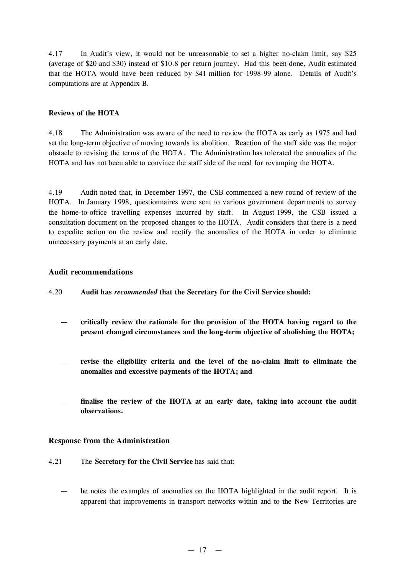4.17 In Audit's view, it would not be unreasonable to set a higher no-claim limit, say \$25 (average of \$20 and \$30) instead of \$10.8 per return journey. Had this been done, Audit estimated that the HOTA would have been reduced by \$41 million for 1998-99 alone. Details of Audit's computations are at Appendix B.

## **Reviews of the HOTA**

4.18 The Administration was aware of the need to review the HOTA as early as 1975 and had set the long-term objective of moving towards its abolition. Reaction of the staff side was the major obstacle to revising the terms of the HOTA. The Administration has tolerated the anomalies of the HOTA and has not been able to convince the staff side of the need for revamping the HOTA.

4.19 Audit noted that, in December 1997, the CSB commenced a new round of review of the HOTA. In January 1998, questionnaires were sent to various government departments to survey the home-to-office travelling expenses incurred by staff. In August 1999, the CSB issued a consultation document on the proposed changes to the HOTA. Audit considers that there is a need to expedite action on the review and rectify the anomalies of the HOTA in order to eliminate unnecessary payments at an early date.

## **Audit recommendations**

- 4.20 **Audit has** *recommended* **that the Secretary for the Civil Service should:**
	- **critically review the rationale for the provision of the HOTA having regard to the present changed circumstances and the long-term objective of abolishing the HOTA;**
	- **revise the eligibility criteria and the level of the no-claim limit to eliminate the anomalies and excessive payments of the HOTA; and**
	- **finalise the review of the HOTA at an early date, taking into account the audit observations.**

### **Response from the Administration**

- 4.21 The **Secretary for the Civil Service** has said that:
	- he notes the examples of anomalies on the HOTA highlighted in the audit report. It is apparent that improvements in transport networks within and to the New Territories are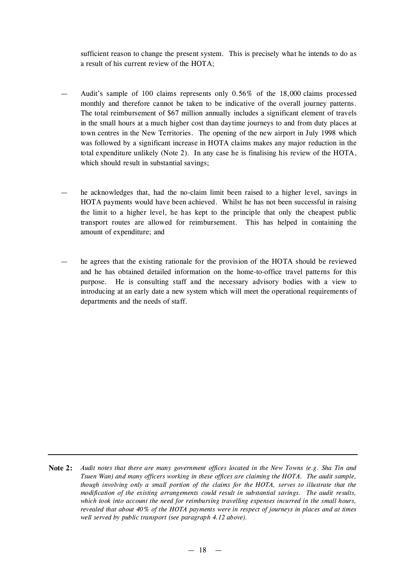sufficient reason to change the present system. This is precisely what he intends to do as a result of his current review of the HOTA;

- Audit's sample of 100 claims represents only 0.56% of the 18,000 claims processed monthly and therefore cannot be taken to be indicative of the overall journey patterns. The total reimbursement of \$67 million annually includes a significant element of travels in the small hours at a much higher cost than daytime journeys to and from duty places at town centres in the New Territories. The opening of the new airport in July 1998 which was followed by a significant increase in HOTA claims makes any major reduction in the total expenditure unlikely (Note 2). In any case he is finalising his review of the HOTA, which should result in substantial savings;
- he acknowledges that, had the no-claim limit been raised to a higher level, savings in HOTA payments would have been achieved. Whilst he has not been successful in raising the limit to a higher level, he has kept to the principle that only the cheapest public transport routes are allowed for reimbursement. This has helped in containing the amount of expenditure; and
- he agrees that the existing rationale for the provision of the HOTA should be reviewed and he has obtained detailed information on the home-to-office travel patterns for this purpose. He is consulting staff and the necessary advisory bodies with a view to introducing at an early date a new system which will meet the operational requirements of departments and the needs of staff.

Note 2: Audit notes that there are many government offices located in the New Towns (e.g. Sha Tin and *Tsuen Wan) and many officers working in these offices are claiming the HOTA. The audit sample, though involving only a small portion of the claims for the HOTA, serves to illustrate that the modification of the existing arrangements could result in substantial savings. The audit results, which took into account the need for reimbursing travelling expenses incurred in the small hours, revealed that about 40% of the HOTA payments were in respect of journeys in places and at times well served by public transport (see paragraph 4.12 above).*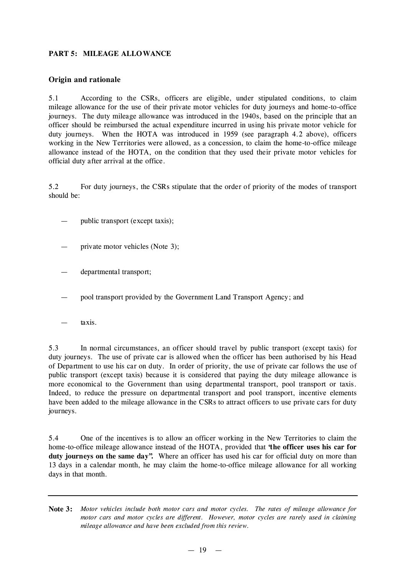## **PART 5: MILEAGE ALLOWANCE**

## **Origin and rationale**

5.1 According to the CSRs, officers are eligible, under stipulated conditions, to claim mileage allowance for the use of their private motor vehicles for duty journeys and home-to-office journeys. The duty mileage allowance was introduced in the 1940s, based on the principle that an officer should be reimbursed the actual expenditure incurred in using his private motor vehicle for duty journeys. When the HOTA was introduced in 1959 (see paragraph 4.2 above), officers working in the New Territories were allowed, as a concession, to claim the home-to-office mileage allowance instead of the HOTA, on the condition that they used their private motor vehicles for official duty after arrival at the office.

5.2 For duty journeys, the CSRs stipulate that the order of priority of the modes of transport should be:

- public transport (except taxis);
- private motor vehicles (Note 3);
- departmental transport;
- pool transport provided by the Government Land Transport Agency; and
- taxis.

5.3 In normal circumstances, an officer should travel by public transport (except taxis) for duty journeys. The use of private car is allowed when the officer has been authorised by his Head of Department to use his car on duty. In order of priority, the use of private car follows the use of public transport (except taxis) because it is considered that paying the duty mileage allowance is more economical to the Government than using departmental transport, pool transport or taxis. Indeed, to reduce the pressure on departmental transport and pool transport, incentive elements have been added to the mileage allowance in the CSRs to attract officers to use private cars for duty journeys.

5.4 One of the incentives is to allow an officer working in the New Territories to claim the home-to-office mileage allowance instead of the HOTA, provided that **"the officer uses his car for duty journeys on the same day".** Where an officer has used his car for official duty on more than 13 days in a calendar month, he may claim the home-to-office mileage allowance for all working days in that month.

**Note 3:** *Motor vehicles include both motor cars and motor cycles. The rates of mileage allowance for motor cars and motor cycles are different. However, motor cycles are rarely used in claiming mileage allowance and have been excluded from this review.*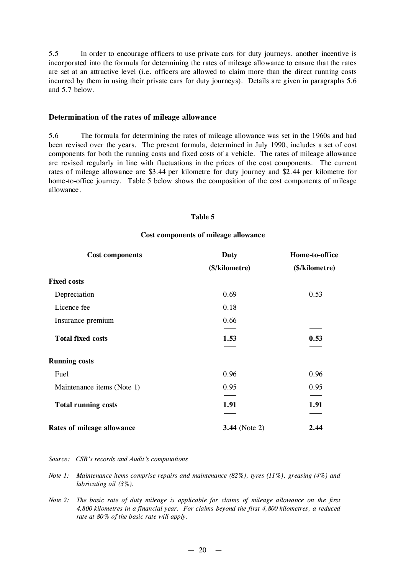5.5 In order to encourage officers to use private cars for duty journeys, another incentive is incorporated into the formula for determining the rates of mileage allowance to ensure that the rates are set at an attractive level (i.e. officers are allowed to claim more than the direct running costs incurred by them in using their private cars for duty journeys). Details are given in paragraphs 5.6 and 5.7 below.

#### **Determination of the rates of mileage allowance**

5.6 The formula for determining the rates of mileage allowance was set in the 1960s and had been revised over the years. The present formula, determined in July 1990, includes a set of cost components for both the running costs and fixed costs of a vehicle. The rates of mileage allowance are revised regularly in line with fluctuations in the prices of the cost components. The current rates of mileage allowance are \$3.44 per kilometre for duty journey and \$2.44 per kilometre for home-to-office journey. Table 5 below shows the composition of the cost components of mileage allowance.

#### **Table 5**

#### **Cost components of mileage allowance**

| <b>Cost components</b>     | <b>Duty</b>          | Home-to-office<br>(\$/kilometre) |  |
|----------------------------|----------------------|----------------------------------|--|
|                            | (\$/kilometre)       |                                  |  |
| <b>Fixed costs</b>         |                      |                                  |  |
| Depreciation               | 0.69                 | 0.53                             |  |
| Licence fee                | 0.18                 |                                  |  |
| Insurance premium          | 0.66                 |                                  |  |
| <b>Total fixed costs</b>   | 1.53                 | 0.53                             |  |
| <b>Running costs</b>       |                      |                                  |  |
| Fuel                       | 0.96                 | 0.96                             |  |
| Maintenance items (Note 1) | 0.95                 | 0.95                             |  |
| <b>Total running costs</b> | 1.91                 | 1.91                             |  |
| Rates of mileage allowance | <b>3.44</b> (Note 2) | 2.44                             |  |

*Source: CSB's records and Audit's computations*

- *Note 1: Maintenance items comprise repairs and maintenance (82%), tyres (11%), greasing (4%) and lubricating oil (3%).*
- *Note 2: The basic rate of duty mileage is applicable for claims of mileage allowance on the first 4,800 kilometres in a financial year. For claims beyond the first 4,800 kilometres, a reduced rate at 80% of the basic rate will apply.*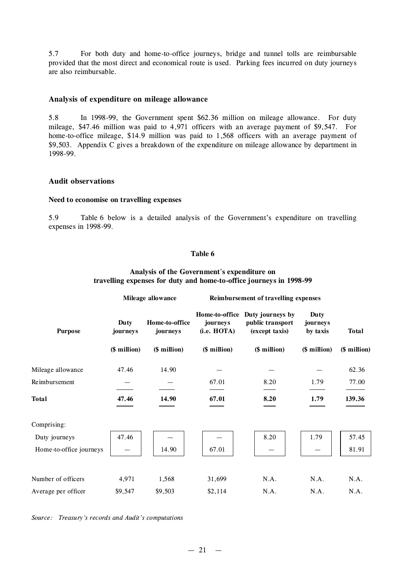5.7 For both duty and home-to-office journeys, bridge and tunnel tolls are reimbursable provided that the most direct and economical route is used. Parking fees incurred on duty journeys are also reimbursable.

### **Analysis of expenditure on mileage allowance**

5.8 In 1998-99, the Government spent \$62.36 million on mileage allowance. For duty mileage, \$47.46 million was paid to 4,971 officers with an average payment of \$9,547. For home-to-office mileage, \$14.9 million was paid to 1,568 officers with an average payment of \$9,503. Appendix C gives a breakdown of the expenditure on mileage allowance by department in 1998-99.

#### **Audit observations**

#### **Need to economise on travelling expenses**

5.9 Table 6 below is a detailed analysis of the Government's expenditure on travelling expenses in 1998-99.

#### **Table 6**

#### **Analysis of the Government**'**s expenditure on travelling expenses for duty and home-to-office journeys in 1998-99**

| Mileage allowance |                            | Reimbursement of travelling expenses |                                    |                                 |              |
|-------------------|----------------------------|--------------------------------------|------------------------------------|---------------------------------|--------------|
| Duty<br>journeys  | Home-to-office<br>journeys | journeys<br>(i.e. HOTA)              | public transport<br>(except taxis) | Duty<br>journeys<br>by taxis    | <b>Total</b> |
| (\$ million)      | (\$ million)               | (\$ million)                         | (\$ million)                       | (\$ million)                    | (\$ million) |
| 47.46             | 14.90                      |                                      |                                    |                                 | 62.36        |
|                   |                            | 67.01                                | 8.20                               | 1.79                            | 77.00        |
| 47.46             | 14.90                      | 67.01                                | 8.20                               | 1.79                            | 139.36       |
|                   |                            |                                      |                                    |                                 |              |
| 47.46             |                            |                                      | 8.20                               | 1.79                            | 57.45        |
|                   | 14.90                      | 67.01                                |                                    |                                 | 81.91        |
| 4,971             | 1,568                      | 31,699                               | N.A.                               | N.A.                            | N.A.         |
| \$9,547           | \$9,503                    | \$2,114                              | N.A.                               | N.A.                            | N.A.         |
|                   |                            |                                      |                                    | Home-to-office Duty journeys by |              |

*Source: Treasury's records and Audit's computations*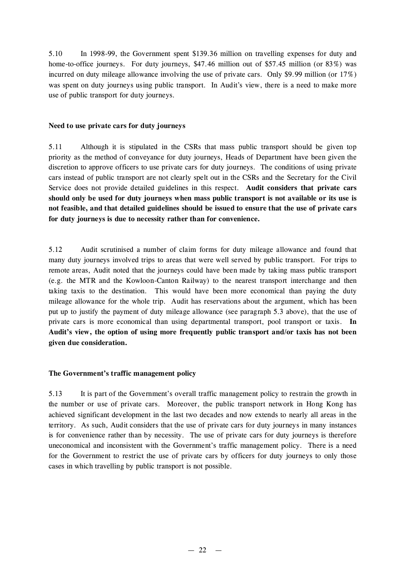5.10 In 1998-99, the Government spent \$139.36 million on travelling expenses for duty and home-to-office journeys. For duty journeys, \$47.46 million out of \$57.45 million (or 83%) was incurred on duty mileage allowance involving the use of private cars. Only \$9.99 million (or 17%) was spent on duty journeys using public transport. In Audit's view, there is a need to make more use of public transport for duty journeys.

## **Need to use private cars for duty journeys**

5.11 Although it is stipulated in the CSRs that mass public transport should be given top priority as the method of conveyance for duty journeys, Heads of Department have been given the discretion to approve officers to use private cars for duty journeys. The conditions of using private cars instead of public transport are not clearly spelt out in the CSRs and the Secretary for the Civil Service does not provide detailed guidelines in this respect. **Audit considers that private cars should only be used for duty journeys when mass public transport is not available or its use is not feasible, and that detailed guidelines should be issued to ensure that the use of private cars for duty journeys is due to necessity rather than for convenience.**

5.12 Audit scrutinised a number of claim forms for duty mileage allowance and found that many duty journeys involved trips to areas that were well served by public transport. For trips to remote areas, Audit noted that the journeys could have been made by taking mass public transport (e.g. the MTR and the Kowloon-Canton Railway) to the nearest transport interchange and then taking taxis to the destination. This would have been more economical than paying the duty mileage allowance for the whole trip. Audit has reservations about the argument, which has been put up to justify the payment of duty mileage allowance (see paragraph 5.3 above), that the use of private cars is more economical than using departmental transport, pool transport or taxis. **In Audit's view, the option of using more frequently public transport and/or taxis has not been given due consideration.**

### **The Government's traffic management policy**

5.13 It is part of the Government's overall traffic management policy to restrain the growth in the number or use of private cars. Moreover, the public transport network in Hong Kong has achieved significant development in the last two decades and now extends to nearly all areas in the territory. As such, Audit considers that the use of private cars for duty journeys in many instances is for convenience rather than by necessity. The use of private cars for duty journeys is therefore uneconomical and inconsistent with the Government's traffic management policy. There is a need for the Government to restrict the use of private cars by officers for duty journeys to only those cases in which travelling by public transport is not possible.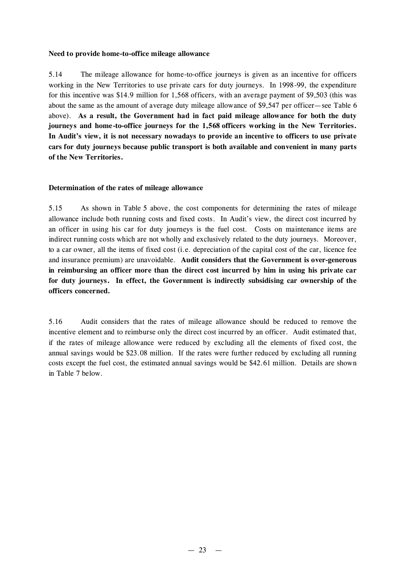## **Need to provide home-to-office mileage allowance**

5.14 The mileage allowance for home-to-office journeys is given as an incentive for officers working in the New Territories to use private cars for duty journeys. In 1998-99, the expenditure for this incentive was \$14.9 million for 1,568 officers, with an average payment of \$9,503 (this was about the same as the amount of average duty mileage allowance of \$9,547 per officer— see Table 6 above). **As a result, the Government had in fact paid mileage allowance for both the duty journeys and home -to-office journeys for the 1,568 officers working in the New Territories. In Audit's view, it is not necessary nowadays to provide an incentive to officers to use private cars for duty journeys because public transport is both available and convenient in many parts of the New Territories.**

## **Determination of the rates of mileage allowance**

5.15 As shown in Table 5 above, the cost components for determining the rates of mileage allowance include both running costs and fixed costs. In Audit's view, the direct cost incurred by an officer in using his car for duty journeys is the fuel cost. Costs on maintenance items are indirect running costs which are not wholly and exclusively related to the duty journeys. Moreover, to a car owner, all the items of fixed cost (i.e. depreciation of the capital cost of the car, licence fee and insurance premium) are unavoidable. **Audit considers that the Government is over-generous in reimbursing an officer more than the direct cost incurred by him in using his private car for duty journeys. In effect, the Government is indirectly subsidising car ownership of the officers concerned.**

5.16 Audit considers that the rates of mileage allowance should be reduced to remove the incentive element and to reimburse only the direct cost incurred by an officer. Audit estimated that, if the rates of mileage allowance were reduced by excluding all the elements of fixed cost, the annual savings would be \$23.08 million. If the rates were further reduced by excluding all running costs except the fuel cost, the estimated annual savings would be \$42.61 million. Details are shown in Table 7 below.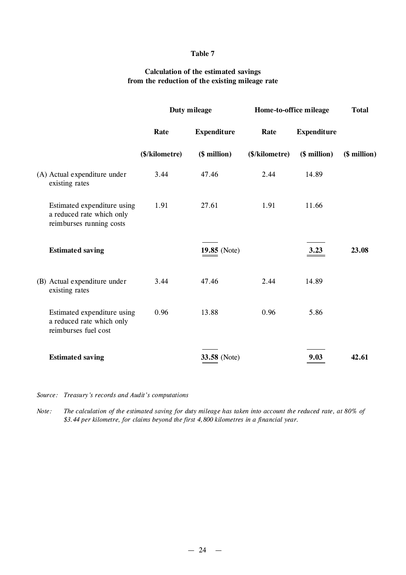## **Table 7**

## **Calculation of the estimated savings from the reduction of the existing mileage rate**

|                                                                                      |                | Duty mileage       |                | Home-to-office mileage |              |
|--------------------------------------------------------------------------------------|----------------|--------------------|----------------|------------------------|--------------|
|                                                                                      | Rate           | <b>Expenditure</b> | Rate           | <b>Expenditure</b>     |              |
|                                                                                      | (\$/kilometre) | (\$ million)       | (\$/kilometre) | (\$ million)           | (\$ million) |
| (A) Actual expenditure under<br>existing rates                                       | 3.44           | 47.46              | 2.44           | 14.89                  |              |
| Estimated expenditure using<br>a reduced rate which only<br>reimburses running costs | 1.91           | 27.61              | 1.91           | 11.66                  |              |
| <b>Estimated saving</b>                                                              |                | 19.85 (Note)       |                | 3.23                   | 23.08        |
| (B) Actual expenditure under<br>existing rates                                       | 3.44           | 47.46              | 2.44           | 14.89                  |              |
| Estimated expenditure using<br>a reduced rate which only<br>reimburses fuel cost     | 0.96           | 13.88              | 0.96           | 5.86                   |              |
| <b>Estimated saving</b>                                                              |                | 33.58 (Note)       |                | 9.03                   | 42.61        |

*Source: Treasury's records and Audit's computations*

Note: The calculation of the estimated saving for duty mileage has taken into account the reduced rate, at 80% of *\$3.44 per kilometre, for claims beyond the first 4,800 kilometres in a financial year.*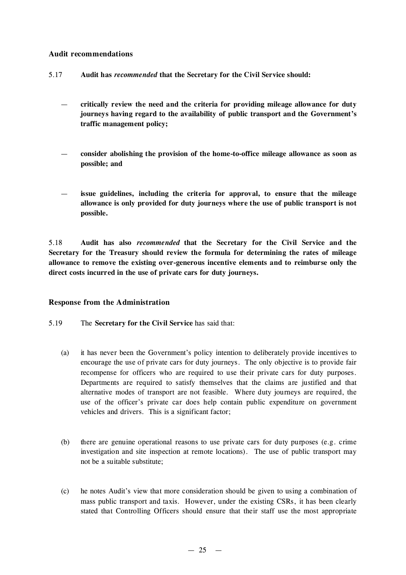## **Audit recommendations**

- 5.17 **Audit has** *recommended* **that the Secretary for the Civil Service should:**
	- **critically review the need and the criteria for providing mileage allowance for duty journeys having regard to the availability of public transport and the Government's traffic management policy;**
	- **consider abolishing the provision of the home-to-office mileage allowance as soon as possible; and**
	- **issue guidelines, including the criteria for approval, to ensure that the mileage allowance is only provided for duty journeys where the use of public transport is not possible.**

5.18 **Audit has also** *recommended* **that the Secretary for the Civil Service and the Secretary for the Treasury should review the formula for determining the rates of mileage allowance to remove the existing over-generous incentive elements and to reimburse only the direct costs incurred in the use of private cars for duty journeys.**

### **Response from the Administration**

- 5.19 The **Secretary for the Civil Service** has said that:
	- (a) it has never been the Government's policy intention to deliberately provide incentives to encourage the use of private cars for duty journeys. The only objective is to provide fair recompense for officers who are required to use their private cars for duty purposes. Departments are required to satisfy themselves that the claims are justified and that alternative modes of transport are not feasible. Where duty journeys are required, the use of the officer's private car does help contain public expenditure on government vehicles and drivers. This is a significant factor;
	- (b) there are genuine operational reasons to use private cars for duty purposes (e.g. crime investigation and site inspection at remote locations). The use of public transport may not be a suitable substitute;
	- (c) he notes Audit's view that more consideration should be given to using a combination of mass public transport and taxis. However, under the existing CSRs, it has been clearly stated that Controlling Officers should ensure that their staff use the most appropriate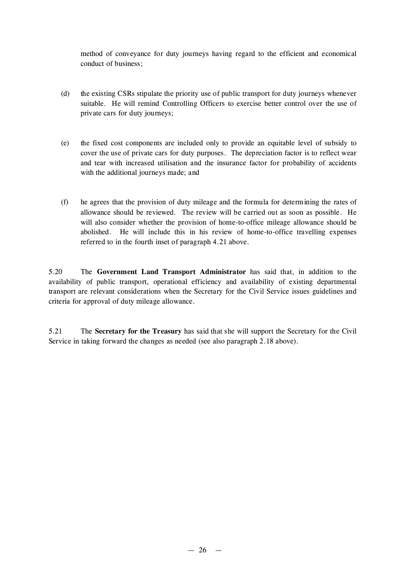method of conveyance for duty journeys having regard to the efficient and economical conduct of business;

- (d) the existing CSRs stipulate the priority use of public transport for duty journeys whenever suitable. He will remind Controlling Officers to exercise better control over the use of private cars for duty journeys;
- (e) the fixed cost components are included only to provide an equitable level of subsidy to cover the use of private cars for duty purposes. The depreciation factor is to reflect wear and tear with increased utilisation and the insurance factor for probability of accidents with the additional journeys made; and
- (f) he agrees that the provision of duty mileage and the formula for determining the rates of allowance should be reviewed. The review will be carried out as soon as possible. He will also consider whether the provision of home-to-office mileage allowance should be abolished. He will include this in his review of home-to-office travelling expenses referred to in the fourth inset of paragraph 4.21 above.

5.20 The **Government Land Transport Administrator** has said that, in addition to the availability of public transport, operational efficiency and availability of existing departmental transport are relevant considerations when the Secretary for the Civil Service issues guidelines and criteria for approval of duty mileage allowance.

5.21 The **Secretary for the Treasury** has said that she will support the Secretary for the Civil Service in taking forward the changes as needed (see also paragraph 2.18 above).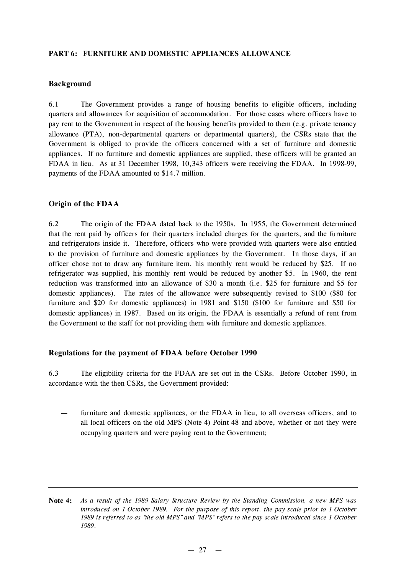## **PART 6: FURNITURE AND DOMESTIC APPLIANCES ALLOWANCE**

## **Background**

6.1 The Government provides a range of housing benefits to eligible officers, including quarters and allowances for acquisition of accommodation. For those cases where officers have to pay rent to the Government in respect of the housing benefits provided to them (e.g. private tenancy allowance (PTA), non-departmental quarters or departmental quarters), the CSRs state that the Government is obliged to provide the officers concerned with a set of furniture and domestic appliances. If no furniture and domestic appliances are supplied, these officers will be granted an FDAA in lieu. As at 31 December 1998, 10,343 officers were receiving the FDAA. In 1998-99, payments of the FDAA amounted to \$14.7 million.

## **Origin of the FDAA**

6.2 The origin of the FDAA dated back to the 1950s. In 1955, the Government determined that the rent paid by officers for their quarters included charges for the quarters, and the furniture and refrigerators inside it. Therefore, officers who were provided with quarters were also entitled to the provision of furniture and domestic appliances by the Government. In those days, if an officer chose not to draw any furniture item, his monthly rent would be reduced by \$25. If no refrigerator was supplied, his monthly rent would be reduced by another \$5. In 1960, the rent reduction was transformed into an allowance of \$30 a month (i.e. \$25 for furniture and \$5 for domestic appliances). The rates of the allowance were subsequently revised to \$100 (\$80 for furniture and \$20 for domestic appliances) in 1981 and \$150 (\$100 for furniture and \$50 for domestic appliances) in 1987. Based on its origin, the FDAA is essentially a refund of rent from the Government to the staff for not providing them with furniture and domestic appliances.

### **Regulations for the payment of FDAA before October 1990**

6.3 The eligibility criteria for the FDAA are set out in the CSRs. Before October 1990, in accordance with the then CSRs, the Government provided:

furniture and domestic appliances, or the FDAA in lieu, to all overseas officers, and to all local officers on the old MPS (Note 4) Point 48 and above, whether or not they were occupying quarters and were paying rent to the Government;

Note 4: As a result of the 1989 Salary Structure Review by the Standing Commission, a new MPS was *introduced on 1 October 1989. For the purpose of this report, the pay scale prior to 1 October* 1989 is referred to as "the old MPS" and "MPS" refers to the pay scale introduced since 1 October *1989.*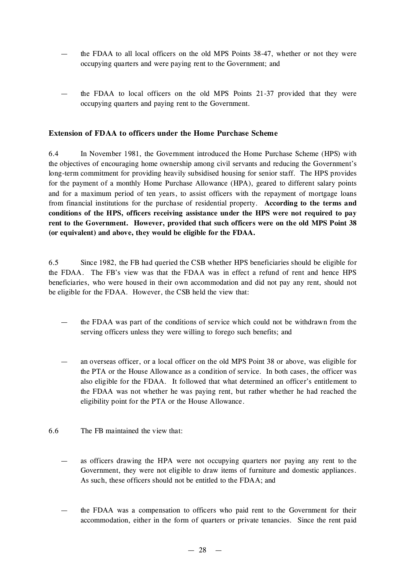- the FDAA to all local officers on the old MPS Points 38-47, whether or not they were occupying quarters and were paying rent to the Government; and
- the FDAA to local officers on the old MPS Points 21-37 provided that they were occupying quarters and paying rent to the Government.

# **Extension of FDAA to officers under the Home Purchase Scheme**

6.4 In November 1981, the Government introduced the Home Purchase Scheme (HPS) with the objectives of encouraging home ownership among civil servants and reducing the Government's long-term commitment for providing heavily subsidised housing for senior staff. The HPS provides for the payment of a monthly Home Purchase Allowance (HPA), geared to different salary points and for a maximum period of ten years, to assist officers with the repayment of mortgage loans from financial institutions for the purchase of residential property. **According to the terms and conditions of the HPS, officers receiving assistance under the HPS were not required to pay rent to the Government. However, provided that such officers were on the old MPS Point 38 (or equivalent) and above, they would be eligible for the FDAA.**

6.5 Since 1982, the FB had queried the CSB whether HPS beneficiaries should be eligible for the FDAA. The FB's view was that the FDAA was in effect a refund of rent and hence HPS beneficiaries, who were housed in their own accommodation and did not pay any rent, should not be eligible for the FDAA. However, the CSB held the view that:

- the FDAA was part of the conditions of service which could not be withdrawn from the serving officers unless they were willing to forego such benefits; and
- an overseas officer, or a local officer on the old MPS Point 38 or above, was eligible for the PTA or the House Allowance as a condition of service. In both cases, the officer was also eligible for the FDAA. It followed that what determined an officer's entitlement to the FDAA was not whether he was paying rent, but rather whether he had reached the eligibility point for the PTA or the House Allowance.
- 6.6 The FB maintained the view that:
	- as officers drawing the HPA were not occupying quarters nor paying any rent to the Government, they were not eligible to draw items of furniture and domestic appliances. As such, these officers should not be entitled to the FDAA; and
	- the FDAA was a compensation to officers who paid rent to the Government for their accommodation, either in the form of quarters or private tenancies. Since the rent paid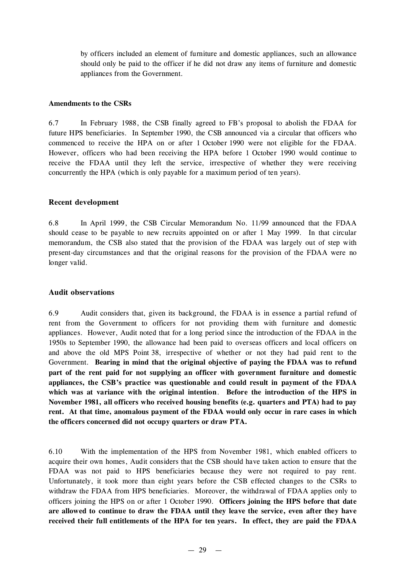by officers included an element of furniture and domestic appliances, such an allowance should only be paid to the officer if he did not draw any items of furniture and domestic appliances from the Government.

#### **Amendments to the CSRs**

6.7 In February 1988, the CSB finally agreed to FB's proposal to abolish the FDAA for future HPS beneficiaries. In September 1990, the CSB announced via a circular that officers who commenced to receive the HPA on or after 1 October 1990 were not eligible for the FDAA. However, officers who had been receiving the HPA before 1 October 1990 would continue to receive the FDAA until they left the service, irrespective of whether they were receiving concurrently the HPA (which is only payable for a maximum period of ten years).

### **Recent development**

6.8 In April 1999, the CSB Circular Memorandum No. 11/99 announced that the FDAA should cease to be payable to new recruits appointed on or after 1 May 1999. In that circular memorandum, the CSB also stated that the provision of the FDAA was largely out of step with present-day circumstances and that the original reasons for the provision of the FDAA were no longer valid.

### **Audit observations**

6.9 Audit considers that, given its background, the FDAA is in essence a partial refund of rent from the Government to officers for not providing them with furniture and domestic appliances. However, Audit noted that for a long period since the introduction of the FDAA in the 1950s to September 1990, the allowance had been paid to overseas officers and local officers on and above the old MPS Point 38, irrespective of whether or not they had paid rent to the Government. **Bearing in mind that the original objective of paying the FDAA was to refund part of the rent paid for not supplying an officer with government furniture and domestic appliances, the CSB's practice was questionable and could result in payment of the FDAA which was at variance with the original intention**. **Before the introduction of the HPS in November 1981, all officers who received housing benefits (e.g. quarters and PTA) had to pay rent. At that time, anomalous payment of the FDAA would only occur in rare cases in which the officers concerned did not occupy quarters or draw PTA.**

6.10 With the implementation of the HPS from November 1981, which enabled officers to acquire their own homes, Audit considers that the CSB should have taken action to ensure that the FDAA was not paid to HPS beneficiaries because they were not required to pay rent. Unfortunately, it took more than eight years before the CSB effected changes to the CSRs to withdraw the FDAA from HPS beneficiaries. Moreover, the withdrawal of FDAA applies only to officers joining the HPS on or after 1 October 1990. **Officers joining the HPS before that date are allowed to continue to draw the FDAA until they leave the service, even after they have received their full entitlements of the HPA for ten years. In effect, they are paid the FDAA**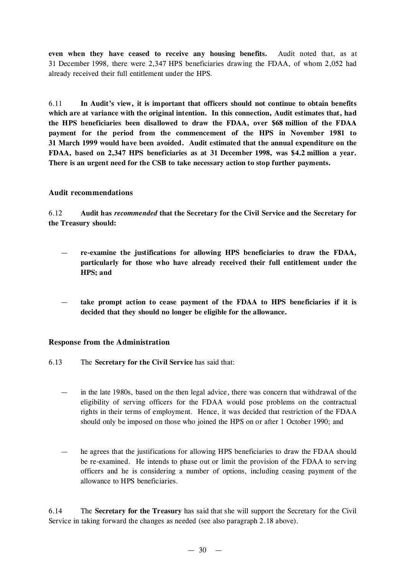**even when they have ceased to receive any housing benefits.** Audit noted that, as at 31 December 1998, there were 2,347 HPS beneficiaries drawing the FDAA, of whom 2,052 had already received their full entitlement under the HPS.

6.11 **In Audit's view, it is important that officers should not continue to obtain benefits which are at variance with the original intention. In this connection, Audit estimates that, had the HPS beneficiaries been disallowed to draw the FDAA, over \$68 million of the FDAA payment for the period from the commencement of the HPS in November 1981 to 31 March 1999 would have been avoided. Audit estimated that the annual expenditure on the FDAA, based on 2,347 HPS beneficiaries as at 31 December 1998, was \$4.2 million a year. There is an urgent need for the CSB to take necessary action to stop further payments.**

# **Audit recommendations**

6.12 **Audit has** *recommended* **that the Secretary for the Civil Service and the Secretary for the Treasury should:**

- **re-examine the justifications for allowing HPS beneficiaries to draw the FDAA, particularly for those who have already received their full entitlement under the HPS; and**
- **take prompt action to cease payment of the FDAA to HPS beneficiaries if it is decided that they should no longer be eligible for the allowance.**

# **Response from the Administration**

- 6.13 The **Secretary for the Civil Service** has said that:
	- in the late 1980s, based on the then legal advice, there was concern that withdrawal of the eligibility of serving officers for the FDAA would pose problems on the contractual rights in their terms of employment. Hence, it was decided that restriction of the FDAA should only be imposed on those who joined the HPS on or after 1 October 1990; and
	- he agrees that the justifications for allowing HPS beneficiaries to draw the FDAA should be re-examined. He intends to phase out or limit the provision of the FDAA to serving officers and he is considering a number of options, including ceasing payment of the allowance to HPS beneficiaries.

6.14 The **Secretary for the Treasury** has said that she will support the Secretary for the Civil Service in taking forward the changes as needed (see also paragraph 2.18 above).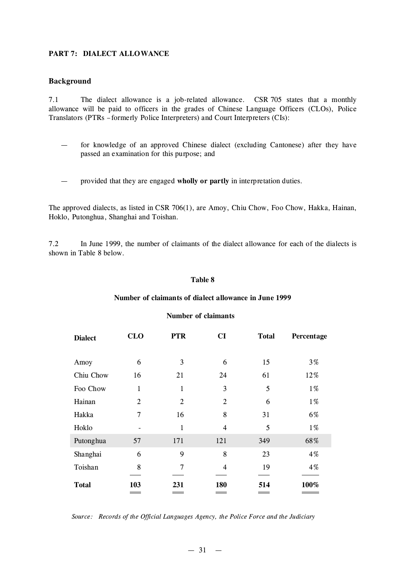### **PART 7: DIALECT ALLOWANCE**

### **Background**

7.1 The dialect allowance is a job-related allowance. CSR 705 states that a monthly allowance will be paid to officers in the grades of Chinese Language Officers (CLOs), Police Translators (PTRs –formerly Police Interpreters) and Court Interpreters (CIs):

- for knowledge of an approved Chinese dialect (excluding Cantonese) after they have passed an examination for this purpose; and
- provided that they are engaged **wholly or partly** in interpretation duties.

The approved dialects, as listed in CSR 706(1), are Amoy, Chiu Chow, Foo Chow, Hakka, Hainan, Hoklo, Putonghua, Shanghai and Toishan.

7.2 In June 1999, the number of claimants of the dialect allowance for each of the dialects is shown in Table 8 below.

#### **Table 8**

#### **Number of claimants of dialect allowance in June 1999**

#### **Number of claimants**

| <b>Dialect</b> | <b>CLO</b>     | <b>PTR</b>     | CI             | <b>Total</b> | Percentage |
|----------------|----------------|----------------|----------------|--------------|------------|
| Amoy           | 6              | 3              | 6              | 15           | $3\%$      |
| Chiu Chow      | 16             | 21             | 24             | 61           | 12%        |
| Foo Chow       | $\mathbf{1}$   | 1              | 3              | 5            | $1\%$      |
| Hainan         | $\overline{2}$ | $\overline{2}$ | $\overline{2}$ | 6            | $1\%$      |
| Hakka          | $\overline{7}$ | 16             | 8              | 31           | 6%         |
| Hoklo          |                | 1              | $\overline{4}$ | 5            | $1\%$      |
| Putonghua      | 57             | 171            | 121            | 349          | 68%        |
| Shanghai       | 6              | 9              | 8              | 23           | 4%         |
| Toishan        | 8              | 7              | 4              | 19           | 4%         |
| <b>Total</b>   | 103            | 231            | 180            | 514          | 100%       |

#### *Source: Records of the Official Languages Agency, the Police Force and the Judiciary*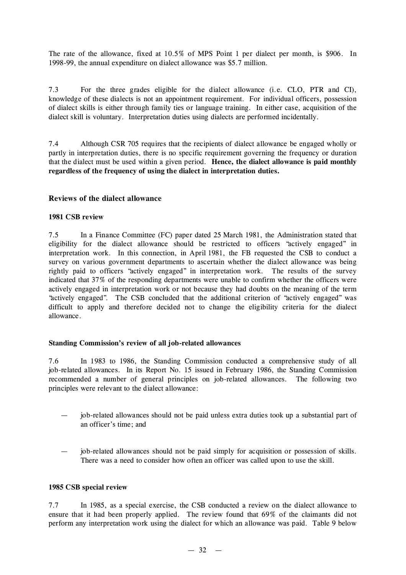The rate of the allowance, fixed at 10.5% of MPS Point 1 per dialect per month, is \$906. In 1998-99, the annual expenditure on dialect allowance was \$5.7 million.

7.3 For the three grades eligible for the dialect allowance (i.e. CLO, PTR and CI), knowledge of these dialects is not an appointment requirement. For individual officers, possession of dialect skills is either through family ties or language training. In either case, acquisition of the dialect skill is voluntary. Interpretation duties using dialects are performed incidentally.

7.4 Although CSR 705 requires that the recipients of dialect allowance be engaged wholly or partly in interpretation duties, there is no specific requirement governing the frequency or duration that the dialect must be used within a given period. **Hence, the dialect allowance is paid monthly regardless of the frequency of using the dialect in interpretation duties.**

### **Reviews of the dialect allowance**

### **1981 CSB review**

7.5 In a Finance Committee (FC) paper dated 25 March 1981, the Administration stated that eligibility for the dialect allowance should be restricted to officers "actively engaged" in interpretation work. In this connection, in April 1981, the FB requested the CSB to conduct a survey on various government departments to ascertain whether the dialect allowance was being rightly paid to officers "actively engaged" in interpretation work. The results of the survey indicated that 37% of the responding departments were unable to confirm whether the officers were actively engaged in interpretation work or not because they had doubts on the meaning of the term "actively engaged". The CSB concluded that the additional criterion of "actively engaged" was difficult to apply and therefore decided not to change the eligibility criteria for the dialect allowance.

### **Standing Commission's review of all job-related allowances**

7.6 In 1983 to 1986, the Standing Commission conducted a comprehensive study of all job-related allowances. In its Report No. 15 issued in February 1986, the Standing Commission recommended a number of general principles on job-related allowances. The following two principles were relevant to the dialect allowance:

- job-related allowances should not be paid unless extra duties took up a substantial part of an officer's time; and
- job-related allowances should not be paid simply for acquisition or possession of skills. There was a need to consider how often an officer was called upon to use the skill.

### **1985 CSB special review**

7.7 In 1985, as a special exercise, the CSB conducted a review on the dialect allowance to ensure that it had been properly applied. The review found that 69% of the claimants did not perform any interpretation work using the dialect for which an allowance was paid. Table 9 below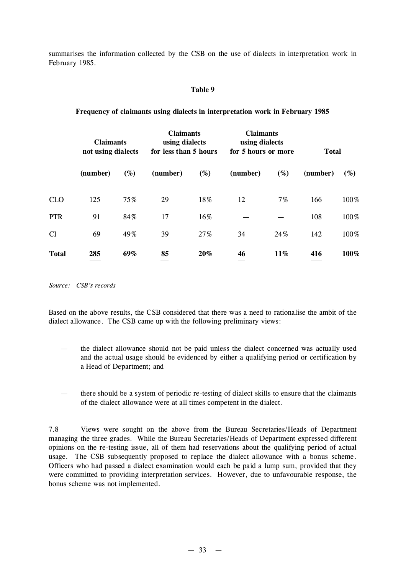summarises the information collected by the CSB on the use of dialects in interpretation work in February 1985.

#### **Table 9**

**Frequency of claimants using dialects in interpretation work in February 1985**

|              | <b>Claimants</b><br>not using dialects |        | <b>Claimants</b><br>using dialects<br>for less than 5 hours |        | <b>Claimants</b><br>using dialects<br>for 5 hours or more |        | <b>Total</b> |        |
|--------------|----------------------------------------|--------|-------------------------------------------------------------|--------|-----------------------------------------------------------|--------|--------------|--------|
|              | (number)                               | $(\%)$ | (number)                                                    | $(\%)$ | (number)                                                  | $(\%)$ | (number)     | $(\%)$ |
| <b>CLO</b>   | 125                                    | 75%    | 29                                                          | 18%    | 12                                                        | $7\%$  | 166          | 100%   |
| <b>PTR</b>   | 91                                     | 84%    | 17                                                          | 16%    |                                                           |        | 108          | 100%   |
| CI           | 69                                     | 49%    | 39                                                          | 27%    | 34                                                        | 24%    | 142          | 100%   |
| <b>Total</b> | 285                                    | 69%    | 85                                                          | 20%    | 46                                                        | 11%    | 416          | 100%   |

*Source: CSB's records*

Based on the above results, the CSB considered that there was a need to rationalise the ambit of the dialect allowance. The CSB came up with the following preliminary views:

- the dialect allowance should not be paid unless the dialect concerned was actually used and the actual usage should be evidenced by either a qualifying period or certification by a Head of Department; and
- there should be a system of periodic re-testing of dialect skills to ensure that the claimants of the dialect allowance were at all times competent in the dialect.

7.8 Views were sought on the above from the Bureau Secretaries/Heads of Department managing the three grades. While the Bureau Secretaries/Heads of Department expressed different opinions on the re-testing issue, all of them had reservations about the qualifying period of actual usage. The CSB subsequently proposed to replace the dialect allowance with a bonus scheme. Officers who had passed a dialect examination would each be paid a lump sum, provided that they were committed to providing interpretation services. However, due to unfavourable response, the bonus scheme was not implemented.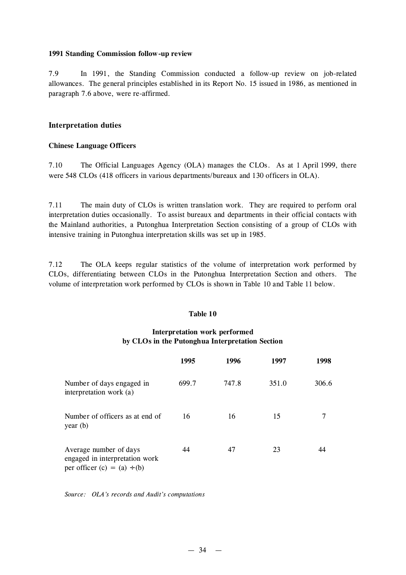#### **1991 Standing Commission follow-up review**

7.9 In 1991, the Standing Commission conducted a follow-up review on job-related allowances. The general principles established in its Report No. 15 issued in 1986, as mentioned in paragraph 7.6 above, were re-affirmed.

### **Interpretation duties**

### **Chinese Language Officers**

7.10 The Official Languages Agency (OLA) manages the CLOs. As at 1 April 1999, there were 548 CLOs (418 officers in various departments/bureaux and 130 officers in OLA).

7.11 The main duty of CLOs is written translation work. They are required to perform oral interpretation duties occasionally. To assist bureaux and departments in their official contacts with the Mainland authorities, a Putonghua Interpretation Section consisting of a group of CLOs with intensive training in Putonghua interpretation skills was set up in 1985.

7.12 The OLA keeps regular statistics of the volume of interpretation work performed by CLOs, differentiating between CLOs in the Putonghua Interpretation Section and others. The volume of interpretation work performed by CLOs is shown in Table 10 and Table 11 below.

### **Table 10**

# **Interpretation work performed by CLOs in the Putonghua Interpretation Section**

|                                                                                              | 1995  | 1996  | 1997  | 1998  |
|----------------------------------------------------------------------------------------------|-------|-------|-------|-------|
| Number of days engaged in<br>interpretation work (a)                                         | 699.7 | 747.8 | 351.0 | 306.6 |
| Number of officers as at end of<br>year $(b)$                                                | 16    | 16    | 15    | 7     |
| Average number of days<br>engaged in interpretation work<br>per officer $(c) = (a) \div (b)$ | 44    | 47    | 23    | 44    |

*Source: OLA's records and Audit's computations*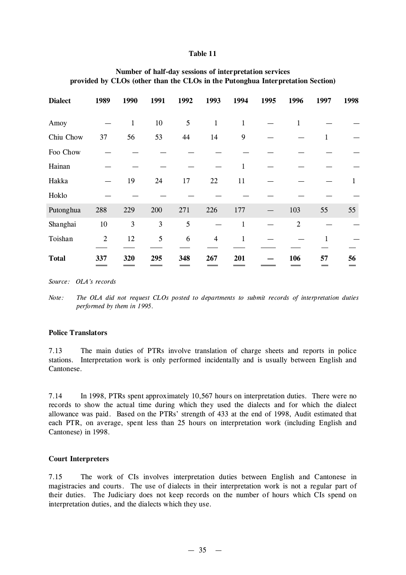#### **Table 11**

| <b>Dialect</b> | 1989           | 1990         | 1991   | 1992 | 1993           | 1994         | 1995 | 1996           | 1997 | 1998 |
|----------------|----------------|--------------|--------|------|----------------|--------------|------|----------------|------|------|
| Amoy           |                | $\mathbf{1}$ | $10\,$ | 5    | $\mathbf{1}$   | $\mathbf{1}$ |      | $\mathbf{1}$   |      |      |
| Chiu Chow      | 37             | 56           | 53     | 44   | 14             | 9            |      |                |      |      |
| Foo Chow       |                |              |        |      |                |              |      |                |      |      |
| Hainan         |                |              |        |      |                | 1            |      |                |      |      |
| Hakka          |                | 19           | 24     | 17   | 22             | 11           |      |                |      | 1    |
| Hoklo          |                |              |        |      |                |              |      |                |      |      |
| Putonghua      | 288            | 229          | 200    | 271  | 226            | 177          |      | 103            | 55   | 55   |
| Shanghai       | $10\,$         | 3            | 3      | 5    |                | 1            |      | $\overline{2}$ |      |      |
| Toishan        | $\overline{2}$ | 12           | 5      | 6    | $\overline{4}$ | 1            |      |                |      |      |
| <b>Total</b>   | 337            | 320          | 295    | 348  | 267            | 201          |      | 106            | 57   | 56   |

### **Number of half-day sessions of interpretation services provided by CLOs (other than the CLOs in the Putonghua Interpretation Section)**

*Source: OLA's records*

*Note: The OLA did not request CLOs posted to departments to submit records of interpretation duties performed by them in 1995.*

#### **Police Translators**

7.13 The main duties of PTRs involve translation of charge sheets and reports in police stations. Interpretation work is only performed incidentally and is usually between English and Cantonese.

7.14 In 1998, PTRs spent approximately 10,567 hours on interpretation duties. There were no records to show the actual time during which they used the dialects and for which the dialect allowance was paid. Based on the PTRs' strength of 433 at the end of 1998, Audit estimated that each PTR, on average, spent less than 25 hours on interpretation work (including English and Cantonese) in 1998.

#### **Court Interpreters**

7.15 The work of CIs involves interpretation duties between English and Cantonese in magistracies and courts. The use of dialects in their interpretation work is not a regular part of their duties. The Judiciary does not keep records on the number of hours which CIs spend on interpretation duties, and the dialects which they use.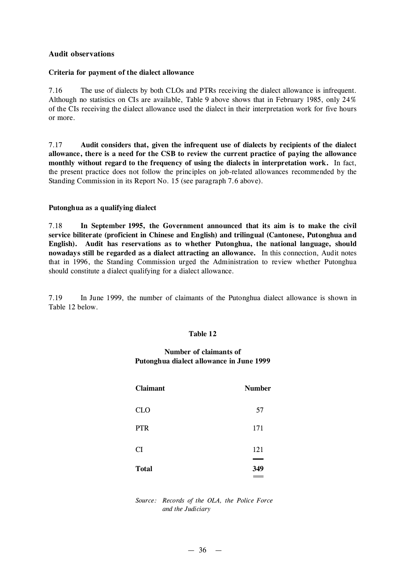### **Audit observations**

### **Criteria for payment of the dialect allowance**

7.16 The use of dialects by both CLOs and PTRs receiving the dialect allowance is infrequent. Although no statistics on CIs are available, Table 9 above shows that in February 1985, only 24% of the CIs receiving the dialect allowance used the dialect in their interpretation work for five hours or more.

7.17 **Audit considers that, given the infrequent use of dialects by recipients of the dialect allowance, there is a need for the CSB to review the current practice of paying the allowance monthly without regard to the frequency of using the dialects in interpretation work.** In fact, the present practice does not follow the principles on job-related allowances recommended by the Standing Commission in its Report No. 15 (see paragraph 7.6 above).

### **Putonghua as a qualifying dialect**

7.18 **In September 1995, the Government announced that its aim is to make the civil service biliterate (proficient in Chinese and English) and trilingual (Cantonese, Putonghua and English). Audit has reservations as to whether Putonghua, the national language, should nowadays still be regarded as a dialect attracting an allowance.** In this connection, Audit notes that in 1996, the Standing Commission urged the Administration to review whether Putonghua should constitute a dialect qualifying for a dialect allowance.

7.19 In June 1999, the number of claimants of the Putonghua dialect allowance is shown in Table 12 below.

#### **Table 12**

# **Number of claimants of Putonghua dialect allowance in June 1999**

| <b>Claimant</b> | <b>Number</b> |
|-----------------|---------------|
| <b>CLO</b>      | 57            |
| <b>PTR</b>      | 171           |
| <b>CI</b>       | 121           |
| <b>Total</b>    | 349           |

*Source: Records of the OLA, the Police Force and the Judiciary*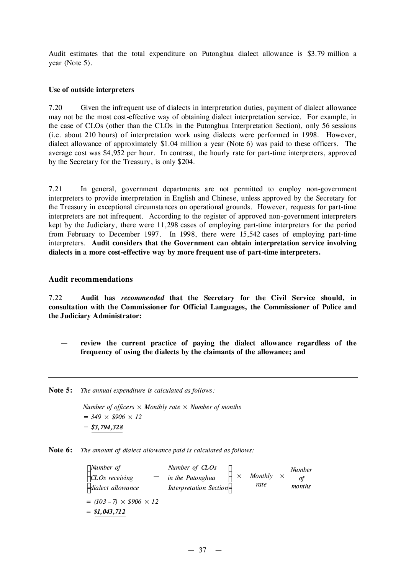Audit estimates that the total expenditure on Putonghua dialect allowance is \$3.79 million a year (Note 5).

#### **Use of outside interpreters**

7.20 Given the infrequent use of dialects in interpretation duties, payment of dialect allowance may not be the most cost-effective way of obtaining dialect interpretation service. For example, in the case of CLOs (other than the CLOs in the Putonghua Interpretation Section), only 56 sessions (i.e. about 210 hours) of interpretation work using dialects were performed in 1998. However, dialect allowance of approximately \$1.04 million a year (Note 6) was paid to these officers. The average cost was \$4,952 per hour. In contrast, the hourly rate for part-time interpreters, approved by the Secretary for the Treasury, is only \$204.

7.21 In general, government departments are not permitted to employ non-government interpreters to provide interpretation in English and Chinese, unless approved by the Secretary for the Treasury in exceptional circumstances on operational grounds. However, requests for part-time interpreters are not infrequent. According to the register of approved non-government interpreters kept by the Judiciary, there were 11,298 cases of employing part-time interpreters for the period from February to December 1997. In 1998, there were 15,542 cases of employing part-time interpreters. **Audit considers that the Government can obtain interpretation service involving dialects in a more cost-effective way by more frequent use of part-time interpreters.**

#### **Audit recommendations**

7.22 **Audit has** *recommended* **that the Secretary for the Civil Service should, in consultation with the Commissioner for Official Languages, the Commissioner of Police and the Judiciary Administrator:**

- **review the current practice of paying the dialect allowance regardless of the frequency of using the dialects by the claimants of the allowance; and**
- **Note 5:** *The annual expenditure is calculated as follows:*

*Number of officers*  $\times$  *Monthly rate*  $\times$  *Number of months = 349 × \$906 × 12 = \$3,794,328*

**Note 6:** *The amount of dialect allowance paid is calculated as follows:*

| $\lceil$ <i>Number of</i>           | Number of CLOs         |          |         |              | <b>Number</b> |
|-------------------------------------|------------------------|----------|---------|--------------|---------------|
| $\angle$ CLOs receiving             | in the Putonghua       | $\times$ | Monthly | $\mathsf{X}$ | of            |
| dialect allowance                   | Interpretation Section |          | rate    |              | months        |
| $= (103 - 7) \times $906 \times 12$ |                        |          |         |              |               |
| $= $1,043,712$                      |                        |          |         |              |               |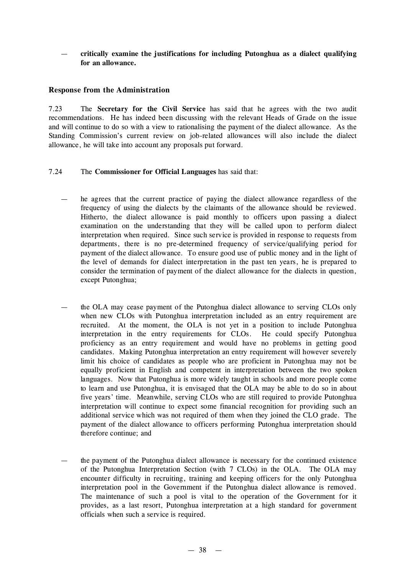— **critically examine the justifications for including Putonghua as a dialect qualifying for an allowance.**

# **Response from the Administration**

7.23 The **Secretary for the Civil Service** has said that he agrees with the two audit recommendations. He has indeed been discussing with the relevant Heads of Grade on the issue and will continue to do so with a view to rationalising the payment of the dialect allowance. As the Standing Commission's current review on job-related allowances will also include the dialect allowance, he will take into account any proposals put forward.

### 7.24 The **Commissioner for Official Languages** has said that:

- he agrees that the current practice of paying the dialect allowance regardless of the frequency of using the dialects by the claimants of the allowance should be reviewed. Hitherto, the dialect allowance is paid monthly to officers upon passing a dialect examination on the understanding that they will be called upon to perform dialect interpretation when required. Since such service is provided in response to requests from departments, there is no pre-determined frequency of service/qualifying period for payment of the dialect allowance. To ensure good use of public money and in the light of the level of demands for dialect interpretation in the past ten years, he is prepared to consider the termination of payment of the dialect allowance for the dialects in question, except Putonghua;
- the OLA may cease payment of the Putonghua dialect allowance to serving CLOs only when new CLOs with Putonghua interpretation included as an entry requirement are recruited. At the moment, the OLA is not yet in a position to include Putonghua interpretation in the entry requirements for CLOs. He could specify Putonghua proficiency as an entry requirement and would have no problems in getting good candidates. Making Putonghua interpretation an entry requirement will however severely limit his choice of candidates as people who are proficient in Putonghua may not be equally proficient in English and competent in interpretation between the two spoken languages. Now that Putonghua is more widely taught in schools and more people come to learn and use Putonghua, it is envisaged that the OLA may be able to do so in about five years' time. Meanwhile, serving CLOs who are still required to provide Putonghua interpretation will continue to expect some financial recognition for providing such an additional service which was not required of them when they joined the CLO grade. The payment of the dialect allowance to officers performing Putonghua interpretation should therefore continue; and
- the payment of the Putonghua dialect allowance is necessary for the continued existence of the Putonghua Interpretation Section (with 7 CLOs) in the OLA. The OLA may encounter difficulty in recruiting, training and keeping officers for the only Putonghua interpretation pool in the Government if the Putonghua dialect allowance is removed. The maintenance of such a pool is vital to the operation of the Government for it provides, as a last resort, Putonghua interpretation at a high standard for government officials when such a service is required.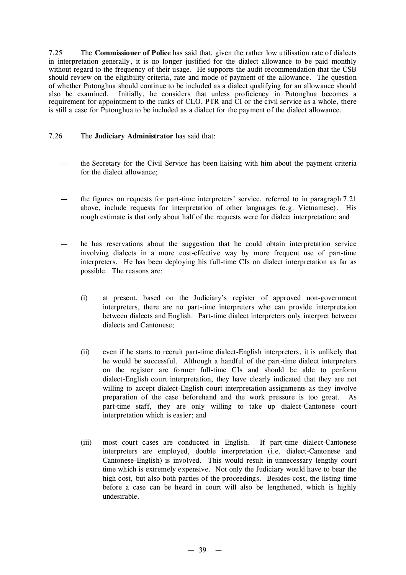7.25 The **Commissioner of Police** has said that, given the rather low utilisation rate of dialects in interpretation generally, it is no longer justified for the dialect allowance to be paid monthly without regard to the frequency of their usage. He supports the audit recommendation that the CSB should review on the eligibility criteria, rate and mode of payment of the allowance. The question of whether Putonghua should continue to be included as a dialect qualifying for an allowance should also be examined. Initially, he considers that unless proficiency in Putonghua becomes a requirement for appointment to the ranks of CLO, PTR and CI or the civil service as a whole, there is still a case for Putonghua to be included as a dialect for the payment of the dialect allowance.

# 7.26 The **Judiciary Administrator** has said that:

- the Secretary for the Civil Service has been liaising with him about the payment criteria for the dialect allowance;
- the figures on requests for part-time interpreters' service, referred to in paragraph 7.21 above, include requests for interpretation of other languages (e.g. Vietnamese). His rough estimate is that only about half of the requests were for dialect interpretation; and
- he has reservations about the suggestion that he could obtain interpretation service involving dialects in a more cost-effective way by more frequent use of part-time interpreters. He has been deploying his full-time CIs on dialect interpretation as far as possible. The reasons are:
	- (i) at present, based on the Judiciary's register of approved non-government interpreters, there are no part-time interpreters who can provide interpretation between dialects and English. Part-time dialect interpreters only interpret between dialects and Cantonese;
	- (ii) even if he starts to recruit part-time dialect-English interpreters, it is unlikely that he would be successful. Although a handful of the part-time dialect interpreters on the register are former full-time CIs and should be able to perform dialect-English court interpretation, they have clearly indicated that they are not willing to accept dialect-English court interpretation assignments as they involve preparation of the case beforehand and the work pressure is too great. As part-time staff, they are only willing to take up dialect-Cantonese court interpretation which is easier; and
	- (iii) most court cases are conducted in English. If part-time dialect-Cantonese interpreters are employed, double interpretation (i.e. dialect-Cantonese and Cantonese-English) is involved. This would result in unnecessary lengthy court time which is extremely expensive. Not only the Judiciary would have to bear the high cost, but also both parties of the proceedings. Besides cost, the listing time before a case can be heard in court will also be lengthened, which is highly undesirable.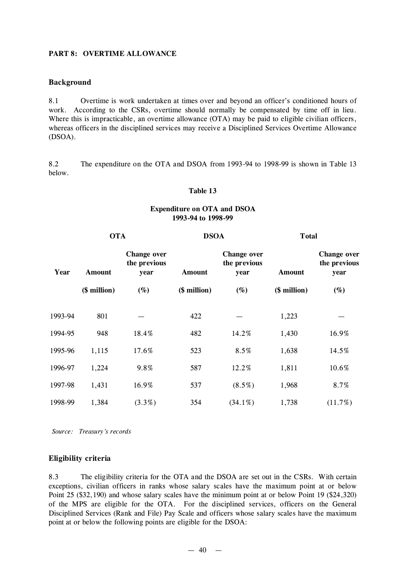### **PART 8: OVERTIME ALLOWANCE**

### **Background**

8.1 Overtime is work undertaken at times over and beyond an officer's conditioned hours of work. According to the CSRs, overtime should normally be compensated by time off in lieu. Where this is impracticable, an overtime allowance (OTA) may be paid to eligible civilian officers, whereas officers in the disciplined services may receive a Disciplined Services Overtime Allowance (DSOA).

8.2 The expenditure on the OTA and DSOA from 1993-94 to 1998-99 is shown in Table 13 below.

#### **Table 13**

### **Expenditure on OTA and DSOA 1993-94 to 1998-99**

| <b>OTA</b> |               | <b>DSOA</b>                                |               | <b>Total</b>                               |               |                                            |  |
|------------|---------------|--------------------------------------------|---------------|--------------------------------------------|---------------|--------------------------------------------|--|
| Year       | <b>Amount</b> | <b>Change over</b><br>the previous<br>year | <b>Amount</b> | <b>Change over</b><br>the previous<br>year | <b>Amount</b> | <b>Change over</b><br>the previous<br>year |  |
|            | (\$ million)  | $(\%)$                                     | (\$ million)  | $(\%)$                                     | (\$ million)  | $(\%)$                                     |  |
| 1993-94    | 801           |                                            | 422           |                                            | 1,223         |                                            |  |
| 1994-95    | 948           | 18.4%                                      | 482           | 14.2%                                      | 1,430         | 16.9%                                      |  |
| 1995-96    | 1,115         | 17.6%                                      | 523           | 8.5%                                       | 1,638         | 14.5%                                      |  |
| 1996-97    | 1,224         | 9.8%                                       | 587           | 12.2%                                      | 1,811         | 10.6%                                      |  |
| 1997-98    | 1,431         | 16.9%                                      | 537           | $(8.5\%)$                                  | 1,968         | 8.7%                                       |  |
| 1998-99    | 1,384         | $(3.3\%)$                                  | 354           | $(34.1\%)$                                 | 1,738         | (11.7%)                                    |  |

*Source: Treasury's records*

### **Eligibility criteria**

8.3 The eligibility criteria for the OTA and the DSOA are set out in the CSRs. With certain exceptions, civilian officers in ranks whose salary scales have the maximum point at or below Point 25 (\$32,190) and whose salary scales have the minimum point at or below Point 19 (\$24,320) of the MPS are eligible for the OTA. For the disciplined services, officers on the General Disciplined Services (Rank and File) Pay Scale and officers whose salary scales have the maximum point at or below the following points are eligible for the DSOA: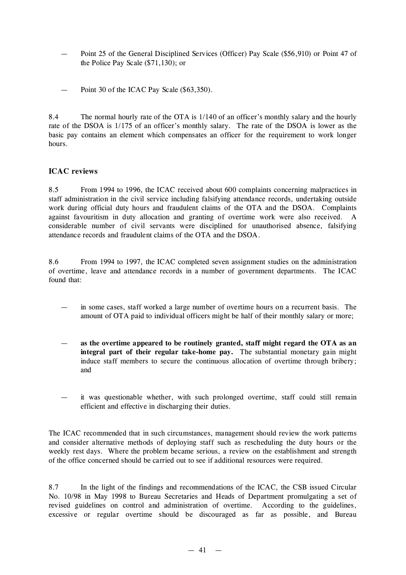- Point 25 of the General Disciplined Services (Officer) Pay Scale (\$56,910) or Point 47 of the Police Pay Scale (\$71,130); or
- Point 30 of the ICAC Pay Scale (\$63,350).

8.4 The normal hourly rate of the OTA is 1/140 of an officer's monthly salary and the hourly rate of the DSOA is 1/175 of an officer's monthly salary. The rate of the DSOA is lower as the basic pay contains an element which compensates an officer for the requirement to work longer hours.

# **ICAC reviews**

8.5 From 1994 to 1996, the ICAC received about 600 complaints concerning malpractices in staff administration in the civil service including falsifying attendance records, undertaking outside work during official duty hours and fraudulent claims of the OTA and the DSOA. Complaints against favouritism in duty allocation and granting of overtime work were also received. A considerable number of civil servants were disciplined for unauthorised absence, falsifying attendance records and fraudulent claims of the OTA and the DSOA.

8.6 From 1994 to 1997, the ICAC completed seven assignment studies on the administration of overtime, leave and attendance records in a number of government departments. The ICAC found that:

- in some cases, staff worked a large number of overtime hours on a recurrent basis. The amount of OTA paid to individual officers might be half of their monthly salary or more;
- **as the overtime appeared to be routinely granted, staff might regard the OTA as an integral part of their regular take-home pay.** The substantial monetary gain might induce staff members to secure the continuous allocation of overtime through bribery; and
- it was questionable whether, with such prolonged overtime, staff could still remain efficient and effective in discharging their duties.

The ICAC recommended that in such circumstances, management should review the work patterns and consider alternative methods of deploying staff such as rescheduling the duty hours or the weekly rest days. Where the problem became serious, a review on the establishment and strength of the office concerned should be carried out to see if additional resources were required.

8.7 In the light of the findings and recommendations of the ICAC, the CSB issued Circular No. 10/98 in May 1998 to Bureau Secretaries and Heads of Department promulgating a set of revised guidelines on control and administration of overtime. According to the guidelines, excessive or regular overtime should be discouraged as far as possible, and Bureau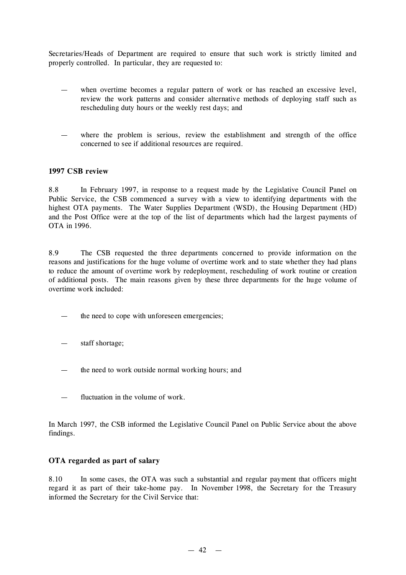Secretaries/Heads of Department are required to ensure that such work is strictly limited and properly controlled. In particular, they are requested to:

- when overtime becomes a regular pattern of work or has reached an excessive level, review the work patterns and consider alternative methods of deploying staff such as rescheduling duty hours or the weekly rest days; and
- where the problem is serious, review the establishment and strength of the office concerned to see if additional resources are required.

### **1997 CSB review**

8.8 In February 1997, in response to a request made by the Legislative Council Panel on Public Service, the CSB commenced a survey with a view to identifying departments with the highest OTA payments. The Water Supplies Department (WSD), the Housing Department (HD) and the Post Office were at the top of the list of departments which had the largest payments of OTA in 1996.

8.9 The CSB requested the three departments concerned to provide information on the reasons and justifications for the huge volume of overtime work and to state whether they had plans to reduce the amount of overtime work by redeployment, rescheduling of work routine or creation of additional posts. The main reasons given by these three departments for the huge volume of overtime work included:

- the need to cope with unforeseen emergencies;
- staff shortage;
- the need to work outside normal working hours; and
- fluctuation in the volume of work.

In March 1997, the CSB informed the Legislative Council Panel on Public Service about the above findings.

### **OTA regarded as part of salary**

8.10 In some cases, the OTA was such a substantial and regular payment that officers might regard it as part of their take-home pay. In November 1998, the Secretary for the Treasury informed the Secretary for the Civil Service that: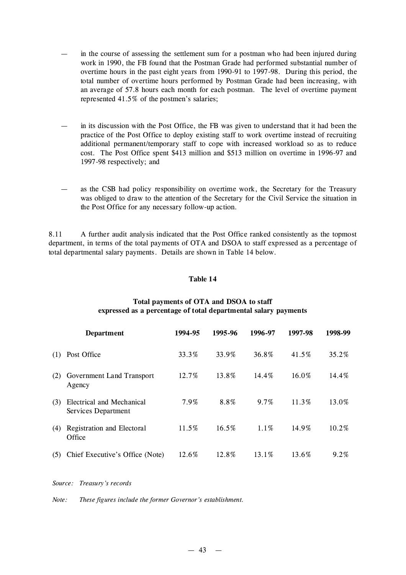- in the course of assessing the settlement sum for a postman who had been injured during work in 1990, the FB found that the Postman Grade had performed substantial number of overtime hours in the past eight years from 1990-91 to 1997-98. During this period, the total number of overtime hours performed by Postman Grade had been increasing, with an average of 57.8 hours each month for each postman. The level of overtime payment represented 41.5% of the postmen's salaries;
- in its discussion with the Post Office, the FB was given to understand that it had been the practice of the Post Office to deploy existing staff to work overtime instead of recruiting additional permanent/temporary staff to cope with increased workload so as to reduce cost. The Post Office spent \$413 million and \$513 million on overtime in 1996-97 and 1997-98 respectively; and
- as the CSB had policy responsibility on overtime work, the Secretary for the Treasury was obliged to draw to the attention of the Secretary for the Civil Service the situation in the Post Office for any necessary follow-up action.

8.11 A further audit analysis indicated that the Post Office ranked consistently as the topmost department, in terms of the total payments of OTA and DSOA to staff expressed as a percentage of total departmental salary payments. Details are shown in Table 14 below.

#### **Table 14**

|     | <b>Department</b>                                | 1994-95 | 1995-96 | 1996-97 | 1997-98 | 1998-99 |
|-----|--------------------------------------------------|---------|---------|---------|---------|---------|
| (1) | Post Office                                      | 33.3%   | 33.9%   | 36.8%   | 41.5%   | 35.2%   |
| (2) | Government Land Transport<br>Agency              | 12.7%   | 13.8%   | 14.4%   | 16.0%   | 14.4%   |
| (3) | Electrical and Mechanical<br>Services Department | 7.9%    | 8.8%    | $9.7\%$ | 11.3%   | 13.0%   |
| (4) | Registration and Electoral<br>Office             | 11.5%   | 16.5%   | $1.1\%$ | 14.9%   | 10.2%   |
| (5) | Chief Executive's Office (Note)                  | 12.6%   | 12.8%   | 13.1%   | 13.6%   | $9.2\%$ |

### **Total payments of OTA and DSOA to staff expressed as a percentage of total departmental salary payments**

*Source: Treasury's records*

*Note: These figures include the former Governor's establishment.*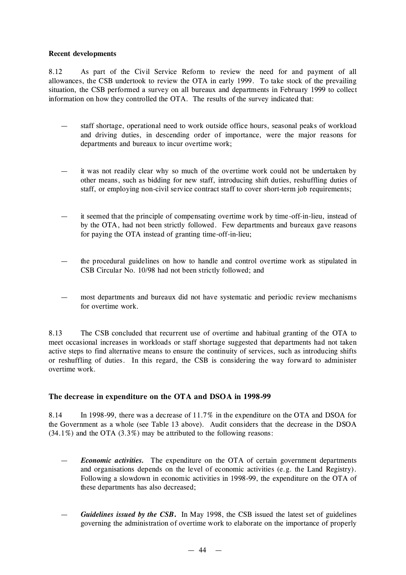### **Recent developments**

8.12 As part of the Civil Service Reform to review the need for and payment of all allowances, the CSB undertook to review the OTA in early 1999. To take stock of the prevailing situation, the CSB performed a survey on all bureaux and departments in February 1999 to collect information on how they controlled the OTA. The results of the survey indicated that:

- staff shortage, operational need to work outside office hours, seasonal peaks of workload and driving duties, in descending order of importance, were the major reasons for departments and bureaux to incur overtime work;
- it was not readily clear why so much of the overtime work could not be undertaken by other means, such as bidding for new staff, introducing shift duties, reshuffling duties of staff, or employing non-civil service contract staff to cover short-term job requirements;
- it seemed that the principle of compensating overtime work by time -off-in-lieu, instead of by the OTA, had not been strictly followed. Few departments and bureaux gave reasons for paying the OTA instead of granting time-off-in-lieu;
- the procedural guidelines on how to handle and control overtime work as stipulated in CSB Circular No. 10/98 had not been strictly followed; and
- most departments and bureaux did not have systematic and periodic review mechanisms for overtime work.

8.13 The CSB concluded that recurrent use of overtime and habitual granting of the OTA to meet occasional increases in workloads or staff shortage suggested that departments had not taken active steps to find alternative means to ensure the continuity of services, such as introducing shifts or reshuffling of duties. In this regard, the CSB is considering the way forward to administer overtime work.

# **The decrease in expenditure on the OTA and DSOA in 1998-99**

8.14 In 1998-99, there was a decrease of 11.7% in the expenditure on the OTA and DSOA for the Government as a whole (see Table 13 above). Audit considers that the decrease in the DSOA  $(34.1\%)$  and the OTA  $(3.3\%)$  may be attributed to the following reasons:

- *Economic activities.* The expenditure on the OTA of certain government departments and organisations depends on the level of economic activities (e.g. the Land Registry). Following a slowdown in economic activities in 1998-99, the expenditure on the OTA of these departments has also decreased;
- *Guidelines issued by the CSB***.** In May 1998, the CSB issued the latest set of guidelines governing the administration of overtime work to elaborate on the importance of properly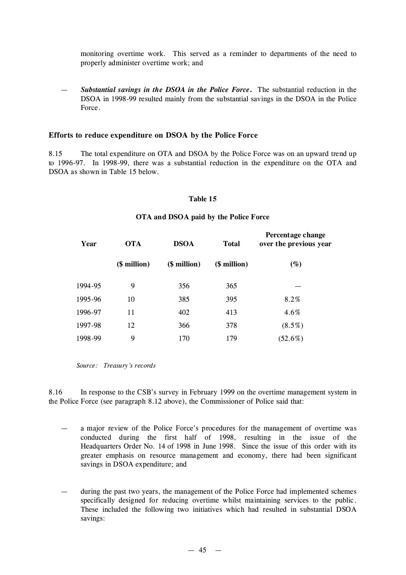monitoring overtime work. This served as a reminder to departments of the need to properly administer overtime work; and

— *Substantial savings in the DSOA in the Police Force***.** The substantial reduction in the DSOA in 1998-99 resulted mainly from the substantial savings in the DSOA in the Police Force.

#### **Efforts to reduce expenditure on DSOA by the Police Force**

8.15 The total expenditure on OTA and DSOA by the Police Force was on an upward trend up to 1996-97. In 1998-99, there was a substantial reduction in the expenditure on the OTA and DSOA as shown in Table 15 below.

#### **Table 15**

#### **OTA and DSOA paid by the Police Force**

| Year    | <b>OTA</b>   | <b>DSOA</b>  | <b>Total</b> | Percentage change<br>over the previous year |
|---------|--------------|--------------|--------------|---------------------------------------------|
|         | (\$ million) | (\$ million) | (\$ million) | (%)                                         |
| 1994-95 | 9            | 356          | 365          |                                             |
| 1995-96 | 10           | 385          | 395          | 8.2%                                        |
| 1996-97 | 11           | 402          | 413          | 4.6%                                        |
| 1997-98 | 12           | 366          | 378          | $(8.5\%)$                                   |
| 1998-99 | 9            | 170          | 179          | $(52.6\%)$                                  |

*Source: Treasury's records*

8.16 In response to the CSB's survey in February 1999 on the overtime management system in the Police Force (see paragraph 8.12 above), the Commissioner of Police said that:

- a major review of the Police Force's procedures for the management of overtime was conducted during the first half of 1998, resulting in the issue of the Headquarters Order No. 14 of 1998 in June 1998. Since the issue of this order with its greater emphasis on resource management and economy, there had been significant savings in DSOA expenditure; and
- during the past two years, the management of the Police Force had implemented schemes specifically designed for reducing overtime whilst maintaining services to the public. These included the following two initiatives which had resulted in substantial DSOA savings: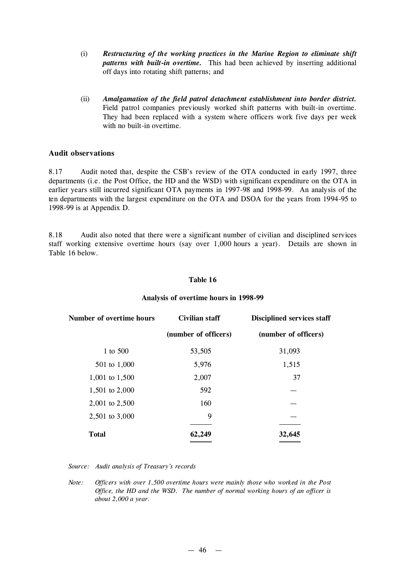- (i) *Restructuring of the working practices in the Marine Region to eliminate shift patterns with built-in overtime.* This had been achieved by inserting additional off days into rotating shift patterns; and
- (ii) *Amalgamation of the field patrol detachment establishment into border district.* Field patrol companies previously worked shift patterns with built-in overtime. They had been replaced with a system where officers work five days per week with no built-in overtime.

### **Audit observations**

8.17 Audit noted that, despite the CSB's review of the OTA conducted in early 1997, three departments (i.e. the Post Office, the HD and the WSD) with significant expenditure on the OTA in earlier years still incurred significant OTA payments in 1997-98 and 1998-99. An analysis of the ten departments with the largest expenditure on the OTA and DSOA for the years from 1994-95 to 1998-99 is at Appendix D.

8.18 Audit also noted that there were a significant number of civilian and disciplined services staff working extensive overtime hours (say over 1,000 hours a year). Details are shown in Table 16 below.

### **Table 16**

| Number of overtime hours | Civilian staff       | <b>Disciplined services staff</b> |  |
|--------------------------|----------------------|-----------------------------------|--|
|                          | (number of officers) | (number of officers)              |  |
| 1 to 500                 | 53,505               | 31,093                            |  |
| 501 to 1,000             | 5,976                | 1,515                             |  |
| 1,001 to 1,500           | 2,007                | 37                                |  |
| 1,501 to 2,000           | 592                  |                                   |  |
| 2,001 to 2,500           | 160                  |                                   |  |
| 2,501 to 3,000           | 9                    |                                   |  |
| <b>Total</b>             | 62,249               | 32,645                            |  |
|                          |                      |                                   |  |

### **Analysis of overtime hours in 1998-99**

*Source: Audit analysis of Treasury's records*

*Note: Officers with over 1,500 overtime hours were mainly those who worked in the Post Office, the HD and the WSD. The number of normal working hours of an officer is about 2,000 a year.*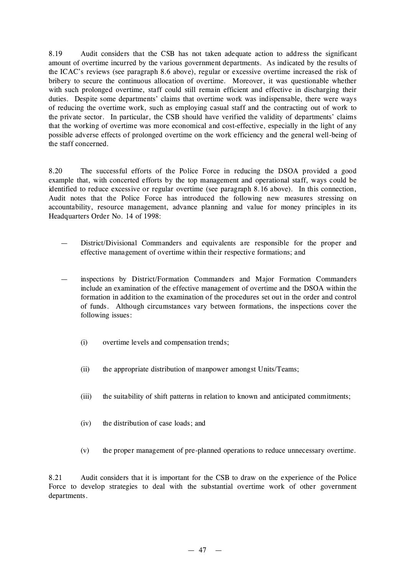8.19 Audit considers that the CSB has not taken adequate action to address the significant amount of overtime incurred by the various government departments. As indicated by the results of the ICAC's reviews (see paragraph 8.6 above), regular or excessive overtime increased the risk of bribery to secure the continuous allocation of overtime. Moreover, it was questionable whether with such prolonged overtime, staff could still remain efficient and effective in discharging their duties. Despite some departments' claims that overtime work was indispensable, there were ways of reducing the overtime work, such as employing casual staff and the contracting out of work to the private sector. In particular, the CSB should have verified the validity of departments' claims that the working of overtime was more economical and cost-effective, especially in the light of any possible adverse effects of prolonged overtime on the work efficiency and the general well-being of the staff concerned.

8.20 The successful efforts of the Police Force in reducing the DSOA provided a good example that, with concerted efforts by the top management and operational staff, ways could be identified to reduce excessive or regular overtime (see paragraph 8.16 above). In this connection, Audit notes that the Police Force has introduced the following new measures stressing on accountability, resource management, advance planning and value for money principles in its Headquarters Order No. 14 of 1998:

- District/Divisional Commanders and equivalents are responsible for the proper and effective management of overtime within their respective formations; and
- inspections by District/Formation Commanders and Major Formation Commanders include an examination of the effective management of overtime and the DSOA within the formation in addition to the examination of the procedures set out in the order and control of funds. Although circumstances vary between formations, the inspections cover the following issues:
	- (i) overtime levels and compensation trends;
	- (ii) the appropriate distribution of manpower amongst Units/Teams;
	- (iii) the suitability of shift patterns in relation to known and anticipated commitments;
	- (iv) the distribution of case loads; and
	- (v) the proper management of pre-planned operations to reduce unnecessary overtime.

8.21 Audit considers that it is important for the CSB to draw on the experience of the Police Force to develop strategies to deal with the substantial overtime work of other government departments.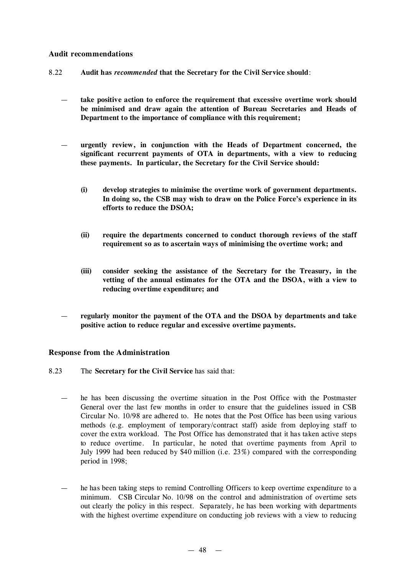### **Audit recommendations**

- 8.22 **Audit has** *recommended* **that the Secretary for the Civil Service should**:
	- **take positive action to enforce the requirement that excessive overtime work should be minimised and draw again the attention of Bureau Secretaries and Heads of Department to the importance of compliance with this requirement;**
	- **urgently review, in conjunction with the Heads of Department concerned, the significant recurrent payments of OTA in departments, with a view to reducing these payments. In particular, the Secretary for the Civil Service should:**
		- **(i) develop strategies to minimise the overtime work of government departments. In doing so, the CSB may wish to draw on the Police Force's experience in its efforts to reduce the DSOA;**
		- **(ii) require the departments concerned to conduct thorough reviews of the staff requirement so as to ascertain ways of minimising the overtime work; and**
		- **(iii) consider seeking the assistance of the Secretary for the Treasury, in the vetting of the annual estimates for the OTA and the DSOA, with a view to reducing overtime expenditure; and**
	- **regularly monitor the payment of the OTA and the DSOA by departments and take positive action to reduce regular and excessive overtime payments.**

# **Response from the Administration**

- 8.23 The **Secretary for the Civil Service** has said that:
	- he has been discussing the overtime situation in the Post Office with the Postmaster General over the last few months in order to ensure that the guidelines issued in CSB Circular No. 10/98 are adhered to. He notes that the Post Office has been using various methods (e.g. employment of temporary/contract staff) aside from deploying staff to cover the extra workload. The Post Office has demonstrated that it has taken active steps to reduce overtime. In particular, he noted that overtime payments from April to July 1999 had been reduced by \$40 million (i.e. 23%) compared with the corresponding period in 1998;
	- he has been taking steps to remind Controlling Officers to keep overtime expenditure to a minimum. CSB Circular No. 10/98 on the control and administration of overtime sets out clearly the policy in this respect. Separately, he has been working with departments with the highest overtime expenditure on conducting job reviews with a view to reducing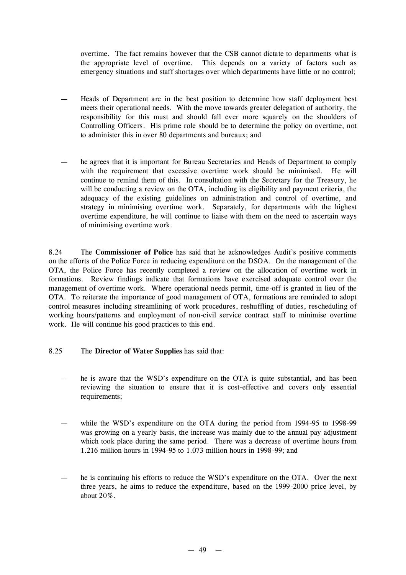overtime. The fact remains however that the CSB cannot dictate to departments what is the appropriate level of overtime. This depends on a variety of factors such as emergency situations and staff shortages over which departments have little or no control;

- Heads of Department are in the best position to determine how staff deployment best meets their operational needs. With the move towards greater delegation of authority, the responsibility for this must and should fall ever more squarely on the shoulders of Controlling Officers. His prime role should be to determine the policy on overtime, not to administer this in over 80 departments and bureaux; and
- he agrees that it is important for Bureau Secretaries and Heads of Department to comply with the requirement that excessive overtime work should be minimised. He will continue to remind them of this. In consultation with the Secretary for the Treasury, he will be conducting a review on the OTA, including its eligibility and payment criteria, the adequacy of the existing guidelines on administration and control of overtime, and strategy in minimising overtime work. Separately, for departments with the highest overtime expenditure, he will continue to liaise with them on the need to ascertain ways of minimising overtime work.

8.24 The **Commissioner of Police** has said that he acknowledges Audit's positive comments on the efforts of the Police Force in reducing expenditure on the DSOA. On the management of the OTA, the Police Force has recently completed a review on the allocation of overtime work in formations. Review findings indicate that formations have exercised adequate control over the management of overtime work. Where operational needs permit, time-off is granted in lieu of the OTA. To reiterate the importance of good management of OTA, formations are reminded to adopt control measures including streamlining of work procedures, reshuffling of duties, rescheduling of working hours/patterns and employment of non-civil service contract staff to minimise overtime work. He will continue his good practices to this end.

### 8.25 The **Director of Water Supplies** has said that:

- he is aware that the WSD's expenditure on the OTA is quite substantial, and has been reviewing the situation to ensure that it is cost-effective and covers only essential requirements;
- while the WSD's expenditure on the OTA during the period from 1994-95 to 1998-99 was growing on a yearly basis, the increase was mainly due to the annual pay adjustment which took place during the same period. There was a decrease of overtime hours from 1.216 million hours in 1994-95 to 1.073 million hours in 1998-99; and
- he is continuing his efforts to reduce the WSD's expenditure on the OTA. Over the next three years, he aims to reduce the expenditure, based on the 1999-2000 price level, by about 20%.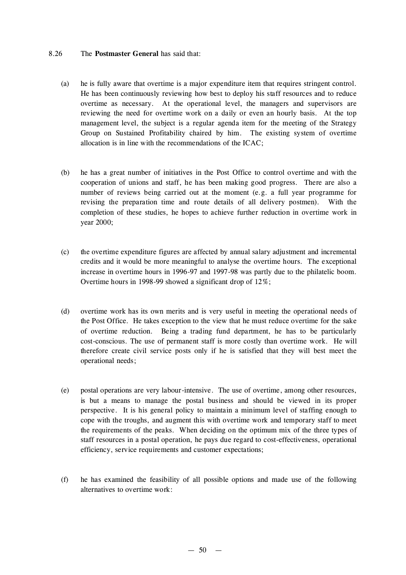### 8.26 The **Postmaster General** has said that:

- (a) he is fully aware that overtime is a major expenditure item that requires stringent control. He has been continuously reviewing how best to deploy his staff resources and to reduce overtime as necessary. At the operational level, the managers and supervisors are reviewing the need for overtime work on a daily or even an hourly basis. At the top management level, the subject is a regular agenda item for the meeting of the Strategy Group on Sustained Profitability chaired by him. The existing system of overtime allocation is in line with the recommendations of the ICAC;
- (b) he has a great number of initiatives in the Post Office to control overtime and with the cooperation of unions and staff, he has been making good progress. There are also a number of reviews being carried out at the moment (e.g. a full year programme for revising the preparation time and route details of all delivery postmen). With the completion of these studies, he hopes to achieve further reduction in overtime work in year 2000;
- (c) the overtime expenditure figures are affected by annual salary adjustment and incremental credits and it would be more meaningful to analyse the overtime hours. The exceptional increase in overtime hours in 1996-97 and 1997-98 was partly due to the philatelic boom. Overtime hours in 1998-99 showed a significant drop of 12%;
- (d) overtime work has its own merits and is very useful in meeting the operational needs of the Post Office. He takes exception to the view that he must reduce overtime for the sake of overtime reduction. Being a trading fund department, he has to be particularly cost-conscious. The use of permanent staff is more costly than overtime work. He will therefore create civil service posts only if he is satisfied that they will best meet the operational needs;
- (e) postal operations are very labour-intensive. The use of overtime, among other resources, is but a means to manage the postal business and should be viewed in its proper perspective. It is his general policy to maintain a minimum level of staffing enough to cope with the troughs, and augment this with overtime work and temporary staff to meet the requirements of the peaks. When deciding on the optimum mix of the three types of staff resources in a postal operation, he pays due regard to cost-effectiveness, operational efficiency, service requirements and customer expectations;
- (f) he has examined the feasibility of all possible options and made use of the following alternatives to overtime work: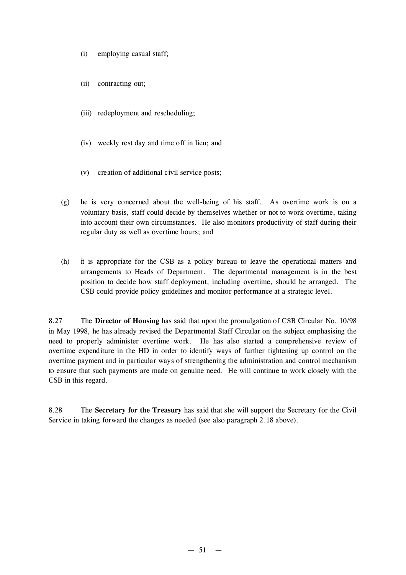- (i) employing casual staff;
- (ii) contracting out;
- (iii) redeployment and rescheduling;
- (iv) weekly rest day and time off in lieu; and
- (v) creation of additional civil service posts;
- (g) he is very concerned about the well-being of his staff. As overtime work is on a voluntary basis, staff could decide by themselves whether or not to work overtime, taking into account their own circumstances. He also monitors productivity of staff during their regular duty as well as overtime hours; and
- (h) it is appropriate for the CSB as a policy bureau to leave the operational matters and arrangements to Heads of Department. The departmental management is in the best position to decide how staff deployment, including overtime, should be arranged. The CSB could provide policy guidelines and monitor performance at a strategic level.

8.27 The **Director of Housing** has said that upon the promulgation of CSB Circular No. 10/98 in May 1998, he has already revised the Departmental Staff Circular on the subject emphasising the need to properly administer overtime work. He has also started a comprehensive review of overtime expenditure in the HD in order to identify ways of further tightening up control on the overtime payment and in particular ways of strengthening the administration and control mechanism to ensure that such payments are made on genuine need. He will continue to work closely with the CSB in this regard.

8.28 The **Secretary for the Treasury** has said that she will support the Secretary for the Civil Service in taking forward the changes as needed (see also paragraph 2.18 above).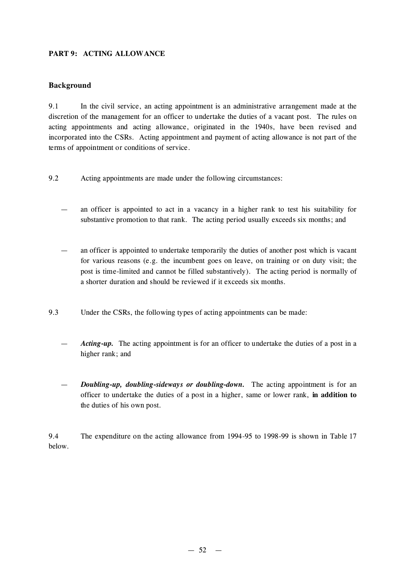# **PART 9: ACTING ALLOWANCE**

# **Background**

9.1 In the civil service, an acting appointment is an administrative arrangement made at the discretion of the management for an officer to undertake the duties of a vacant post. The rules on acting appointments and acting allowance, originated in the 1940s, have been revised and incorporated into the CSRs. Acting appointment and payment of acting allowance is not part of the terms of appointment or conditions of service.

- 9.2 Acting appointments are made under the following circumstances:
	- an officer is appointed to act in a vacancy in a higher rank to test his suitability for substantive promotion to that rank. The acting period usually exceeds six months; and
	- an officer is appointed to undertake temporarily the duties of another post which is vacant for various reasons (e.g. the incumbent goes on leave, on training or on duty visit; the post is time-limited and cannot be filled substantively). The acting period is normally of a shorter duration and should be reviewed if it exceeds six months.
- 9.3 Under the CSRs, the following types of acting appointments can be made:
	- Acting-up. The acting appointment is for an officer to undertake the duties of a post in a higher rank; and
	- *Doubling-up, doubling-sideways or doubling-down.* The acting appointment is for an officer to undertake the duties of a post in a higher, same or lower rank, **in addition to** the duties of his own post.

9.4 The expenditure on the acting allowance from 1994-95 to 1998-99 is shown in Table 17 below.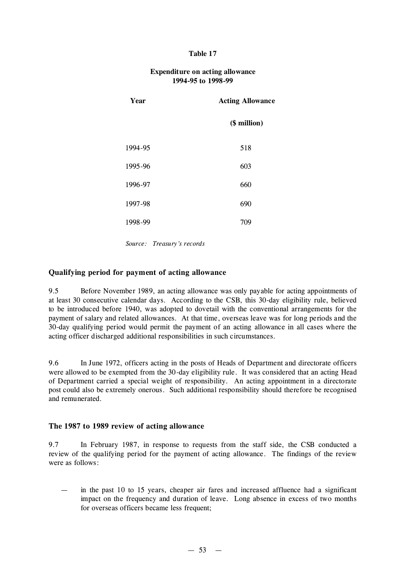### **Table 17**

| Year    | <b>Acting Allowance</b> |
|---------|-------------------------|
|         | (\$ million)            |
| 1994-95 | 518                     |
| 1995-96 | 603                     |
| 1996-97 | 660                     |
| 1997-98 | 690                     |
| 1998-99 | 709                     |
|         |                         |

### **Expenditure on acting allowance 1994-95 to 1998-99**

*Source: Treasury's records*

### **Qualifying period for payment of acting allowance**

9.5 Before November 1989, an acting allowance was only payable for acting appointments of at least 30 consecutive calendar days. According to the CSB, this 30-day eligibility rule, believed to be introduced before 1940, was adopted to dovetail with the conventional arrangements for the payment of salary and related allowances. At that time, overseas leave was for long periods and the 30-day qualifying period would permit the payment of an acting allowance in all cases where the acting officer discharged additional responsibilities in such circumstances.

9.6 In June 1972, officers acting in the posts of Heads of Department and directorate officers were allowed to be exempted from the 30-day eligibility rule. It was considered that an acting Head of Department carried a special weight of responsibility. An acting appointment in a directorate post could also be extremely onerous. Such additional responsibility should therefore be recognised and remunerated.

### **The 1987 to 1989 review of acting allowance**

9.7 In February 1987, in response to requests from the staff side, the CSB conducted a review of the qualifying period for the payment of acting allowance. The findings of the review were as follows:

— in the past 10 to 15 years, cheaper air fares and increased affluence had a significant impact on the frequency and duration of leave. Long absence in excess of two months for overseas officers became less frequent;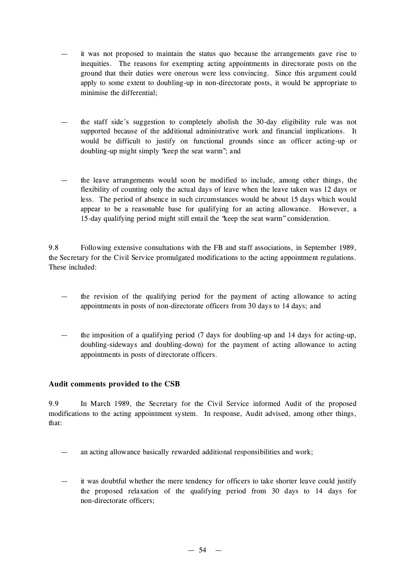- it was not proposed to maintain the status quo because the arrangements gave rise to inequities. The reasons for exempting acting appointments in directorate posts on the ground that their duties were onerous were less convincing. Since this argument could apply to some extent to doubling-up in non-directorate posts, it would be appropriate to minimise the differential;
- the staff side's suggestion to completely abolish the 30-day eligibility rule was not supported because of the additional administrative work and financial implications. It would be difficult to justify on functional grounds since an officer acting-up or doubling-up might simply "keep the seat warm"; and
- the leave arrangements would soon be modified to include, among other things, the flexibility of counting only the actual days of leave when the leave taken was 12 days or less. The period of absence in such circumstances would be about 15 days which would appear to be a reasonable base for qualifying for an acting allowance. However, a 15-day qualifying period might still entail the "keep the seat warm" consideration.

9.8 Following extensive consultations with the FB and staff associations, in September 1989, the Secretary for the Civil Service promulgated modifications to the acting appointment regulations. These included:

- the revision of the qualifying period for the payment of acting allowance to acting appointments in posts of non-directorate officers from 30 days to 14 days; and
- the imposition of a qualifying period  $(7 \text{ days for doubling-up and } 14 \text{ days for acting-up},$ doubling-sideways and doubling-down) for the payment of acting allowance to acting appointments in posts of directorate officers.

# **Audit comments provided to the CSB**

9.9 In March 1989, the Secretary for the Civil Service informed Audit of the proposed modifications to the acting appointment system. In response, Audit advised, among other things, that:

- an acting allowance basically rewarded additional responsibilities and work;
- it was doubtful whether the mere tendency for officers to take shorter leave could justify the proposed relaxation of the qualifying period from 30 days to 14 days for non-directorate officers;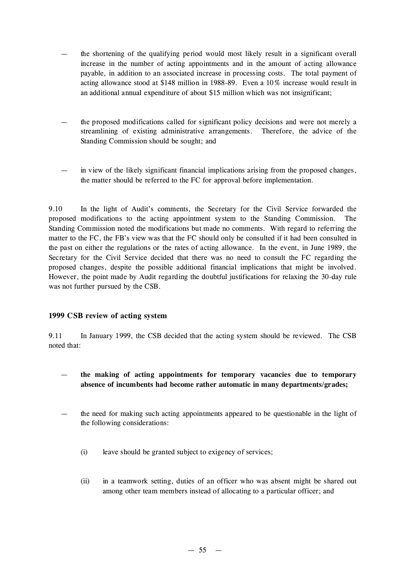- the shortening of the qualifying period would most likely result in a significant overall increase in the number of acting appointments and in the amount of acting allowance payable, in addition to an associated increase in processing costs. The total payment of acting allowance stood at \$148 million in 1988-89. Even a 10% increase would result in an additional annual expenditure of about \$15 million which was not insignificant;
- the proposed modifications called for significant policy decisions and were not merely a streamlining of existing administrative arrangements. Therefore, the advice of the Standing Commission should be sought; and
- in view of the likely significant financial implications arising from the proposed changes, the matter should be referred to the FC for approval before implementation.

9.10 In the light of Audit's comments, the Secretary for the Civil Service forwarded the proposed modifications to the acting appointment system to the Standing Commission. The Standing Commission noted the modifications but made no comments. With regard to referring the matter to the FC, the FB's view was that the FC should only be consulted if it had been consulted in the past on either the regulations or the rates of acting allowance. In the event, in June 1989, the Secretary for the Civil Service decided that there was no need to consult the FC regarding the proposed changes, despite the possible additional financial implications that might be involved. However, the point made by Audit regarding the doubtful justifications for relaxing the 30-day rule was not further pursued by the CSB.

### **1999 CSB review of acting system**

9.11 In January 1999, the CSB decided that the acting system should be reviewed. The CSB noted that:

- **the making of acting appointments for temporary vacancies due to temporary absence of incumbents had become rather automatic in many departments/grades;**
- the need for making such acting appointments appeared to be questionable in the light of the following considerations:
	- (i) leave should be granted subject to exigency of services;
	- (ii) in a teamwork setting, duties of an officer who was absent might be shared out among other team members instead of allocating to a particular officer; and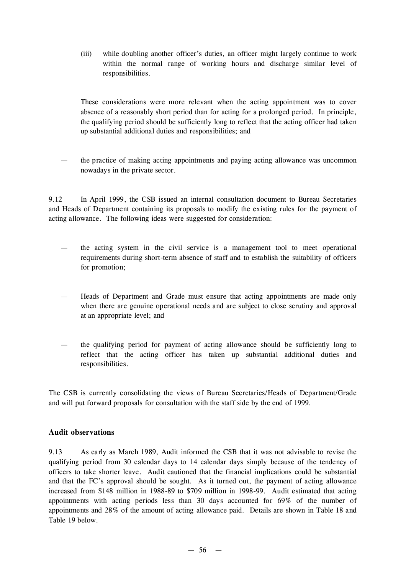(iii) while doubling another officer's duties, an officer might largely continue to work within the normal range of working hours and discharge similar level of responsibilities.

These considerations were more relevant when the acting appointment was to cover absence of a reasonably short period than for acting for a prolonged period. In principle, the qualifying period should be sufficiently long to reflect that the acting officer had taken up substantial additional duties and responsibilities; and

the practice of making acting appointments and paying acting allowance was uncommon nowadays in the private sector.

9.12 In April 1999, the CSB issued an internal consultation document to Bureau Secretaries and Heads of Department containing its proposals to modify the existing rules for the payment of acting allowance. The following ideas were suggested for consideration:

- the acting system in the civil service is a management tool to meet operational requirements during short-term absence of staff and to establish the suitability of officers for promotion;
- Heads of Department and Grade must ensure that acting appointments are made only when there are genuine operational needs and are subject to close scrutiny and approval at an appropriate level; and
- the qualifying period for payment of acting allowance should be sufficiently long to reflect that the acting officer has taken up substantial additional duties and responsibilities.

The CSB is currently consolidating the views of Bureau Secretaries/Heads of Department/Grade and will put forward proposals for consultation with the staff side by the end of 1999.

# **Audit observations**

9.13 As early as March 1989, Audit informed the CSB that it was not advisable to revise the qualifying period from 30 calendar days to 14 calendar days simply because of the tendency of officers to take shorter leave. Audit cautioned that the financial implications could be substantial and that the FC's approval should be sought. As it turned out, the payment of acting allowance increased from \$148 million in 1988-89 to \$709 million in 1998-99. Audit estimated that acting appointments with acting periods less than 30 days accounted for 69% of the number of appointments and 28% of the amount of acting allowance paid. Details are shown in Table 18 and Table 19 below.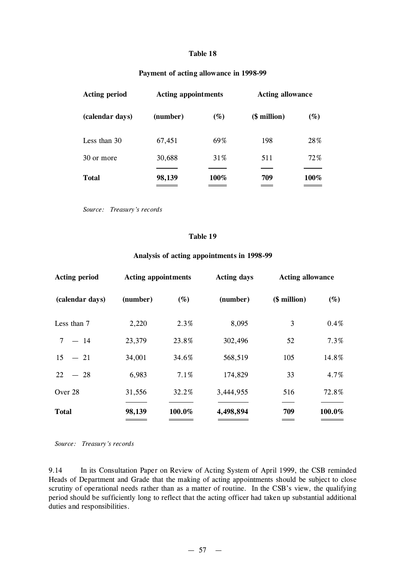#### **Table 18**

### **Payment of acting allowance in 1998-99**

| <b>Acting period</b> | <b>Acting appointments</b> |        | <b>Acting allowance</b> |        |  |
|----------------------|----------------------------|--------|-------------------------|--------|--|
| (calendar days)      | (number)                   | $(\%)$ | (\$ million)            | $(\%)$ |  |
| Less than 30         | 67,451                     | 69%    | 198                     | 28%    |  |
| 30 or more           | 30,688                     | 31\%   | 511                     | 72%    |  |
| <b>Total</b>         | 98,139                     | 100%   | 709                     | 100%   |  |

*Source: Treasury's records*

#### **Table 19**

#### **Analysis of acting appointments in 1998-99**

| <b>Acting period</b> | <b>Acting appointments</b> |        | <b>Acting days</b> | <b>Acting allowance</b> |        |  |
|----------------------|----------------------------|--------|--------------------|-------------------------|--------|--|
| (calendar days)      | (number)                   | $(\%)$ | (number)           | (\$ million)            | $(\%)$ |  |
| Less than 7          | 2,220                      | 2.3%   | 8,095              | 3                       | 0.4%   |  |
| $-14$<br>$\tau$      | 23,379                     | 23.8%  | 302,496            | 52                      | 7.3%   |  |
| 15<br>$-21$          | 34,001                     | 34.6%  | 568,519            | 105                     | 14.8%  |  |
| 22<br>$-28$          | 6,983                      | 7.1%   | 174,829            | 33                      | 4.7%   |  |
| Over 28              | 31,556                     | 32.2%  | 3,444,955          | 516                     | 72.8%  |  |
| <b>Total</b>         | 98,139                     | 100.0% | 4,498,894          | 709<br>_______          | 100.0% |  |

*Source: Treasury's records*

9.14 In its Consultation Paper on Review of Acting System of April 1999, the CSB reminded Heads of Department and Grade that the making of acting appointments should be subject to close scrutiny of operational needs rather than as a matter of routine. In the CSB's view, the qualifying period should be sufficiently long to reflect that the acting officer had taken up substantial additional duties and responsibilities.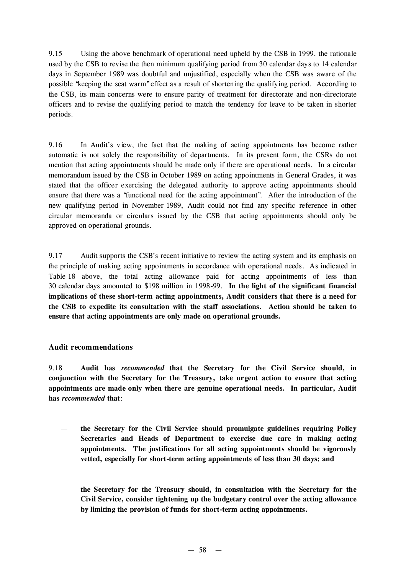9.15 Using the above benchmark of operational need upheld by the CSB in 1999, the rationale used by the CSB to revise the then minimum qualifying period from 30 calendar days to 14 calendar days in September 1989 was doubtful and unjustified, especially when the CSB was aware of the possible "keeping the seat warm"effect as a result of shortening the qualifying period. According to the CSB, its main concerns were to ensure parity of treatment for directorate and non-directorate officers and to revise the qualifying period to match the tendency for leave to be taken in shorter periods.

9.16 In Audit's view, the fact that the making of acting appointments has become rather automatic is not solely the responsibility of departments. In its present form, the CSRs do not mention that acting appointments should be made only if there are operational needs. In a circular memorandum issued by the CSB in October 1989 on acting appointments in General Grades, it was stated that the officer exercising the delegated authority to approve acting appointments should ensure that there was a "functional need for the acting appointment". After the introduction of the new qualifying period in November 1989, Audit could not find any specific reference in other circular memoranda or circulars issued by the CSB that acting appointments should only be approved on operational grounds.

9.17 Audit supports the CSB's recent initiative to review the acting system and its emphasis on the principle of making acting appointments in accordance with operational needs. As indicated in Table 18 above, the total acting allowance paid for acting appointments of less than 30 calendar days amounted to \$198 million in 1998-99. **In the light of the significant financial implications of these short-term acting appointments, Audit considers that there is a need for the CSB to expedite its consultation with the staff associations. Action should be taken to ensure that acting appointments are only made on operational grounds.**

# **Audit recommendations**

9.18 **Audit has** *recommended* **that the Secretary for the Civil Service should, in conjunction with the Secretary for the Treasury, take urgent action to ensure that acting appointments are made only when there are genuine operational needs. In particular, Audit has** *recommended* **that**:

- **the Secretary for the Civil Service should promulgate guidelines requiring Policy Secretaries and Heads of Department to exercise due care in making acting appointments. The justifications for all acting appointments should be vigorously vetted, especially for short-term acting appointments of less than 30 days; and**
- **the Secretary for the Treasury should, in consultation with the Secretary for the Civil Service, consider tightening up the budgetary control over the acting allowance by limiting the provision of funds for short-term acting appointments.**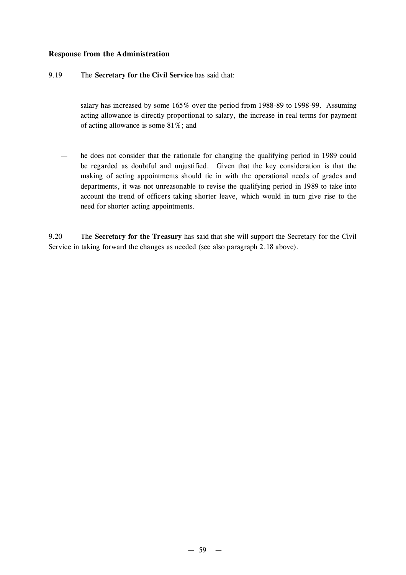# **Response from the Administration**

### 9.19 The **Secretary for the Civil Service** has said that:

- salary has increased by some 165% over the period from 1988-89 to 1998-99. Assuming acting allowance is directly proportional to salary, the increase in real terms for payment of acting allowance is some 81%; and
- he does not consider that the rationale for changing the qualifying period in 1989 could be regarded as doubtful and unjustified. Given that the key consideration is that the making of acting appointments should tie in with the operational needs of grades and departments, it was not unreasonable to revise the qualifying period in 1989 to take into account the trend of officers taking shorter leave, which would in turn give rise to the need for shorter acting appointments.

9.20 The **Secretary for the Treasury** has said that she will support the Secretary for the Civil Service in taking forward the changes as needed (see also paragraph 2.18 above).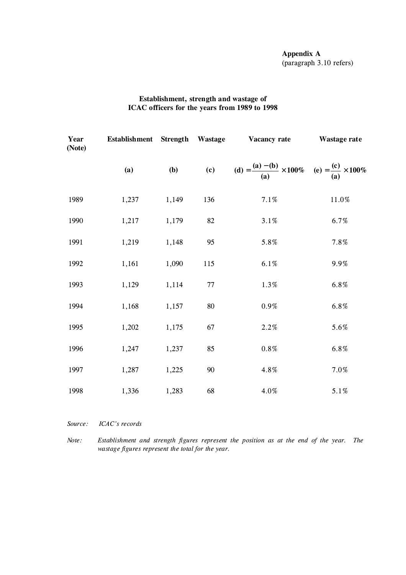# **Appendix A** (paragraph 3.10 refers)

# **Establishment, strength and wastage of ICAC officers for the years from 1989 to 1998**

| Year<br>(Note) | Establishment Strength Wastage |       |        | Vacancy rate                                                                        | Wastage rate |  |
|----------------|--------------------------------|-------|--------|-------------------------------------------------------------------------------------|--------------|--|
|                | (a)                            | (b)   |        | (c) $(d) = \frac{(a) - (b)}{(a)} \times 100\%$ (e) = $\frac{(c)}{(a)} \times 100\%$ |              |  |
| 1989           | 1,237                          | 1,149 | 136    | $7.1\%$                                                                             | $11.0\%$     |  |
| 1990           | 1,217                          | 1,179 | 82     | $3.1\%$                                                                             | 6.7%         |  |
| 1991           | 1,219                          | 1,148 | 95     | 5.8%                                                                                | 7.8%         |  |
| 1992           | 1,161                          | 1,090 | 115    | 6.1%                                                                                | 9.9%         |  |
| 1993           | 1,129                          | 1,114 | $77\,$ | 1.3%                                                                                | 6.8%         |  |
| 1994           | 1,168                          | 1,157 | $80\,$ | $0.9\%$                                                                             | 6.8%         |  |
| 1995           | 1,202                          | 1,175 | 67     | 2.2%                                                                                | 5.6%         |  |
| 1996           | 1,247                          | 1,237 | 85     | $0.8\,\%$                                                                           | 6.8%         |  |
| 1997           | 1,287                          | 1,225 | $90\,$ | 4.8%                                                                                | 7.0%         |  |
| 1998           | 1,336                          | 1,283 | 68     | $4.0\%$                                                                             | 5.1%         |  |

*Source: ICAC's records*

*Note: Establishment and strength figures represent the position as at the end of the year. The wastage figures represent the total for the year.*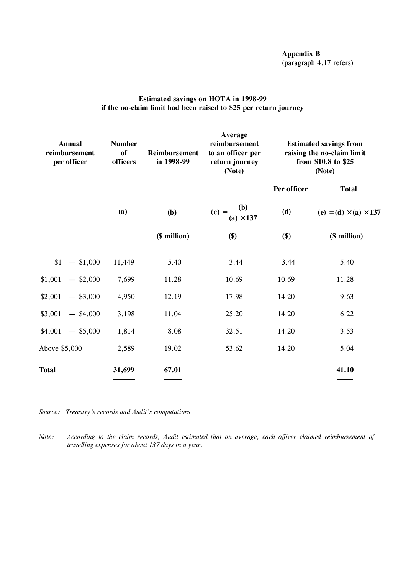# **Appendix B** (paragraph 4.17 refers)

# **Estimated savings on HOTA in 1998-99 if the no-claim limit had been raised to \$25 per return journey**

| <b>Annual</b><br>reimbursement<br>per officer | <b>Number</b><br>of<br>officers | <b>Reimbursement</b><br>in 1998-99 | Average<br>reimbursement<br>to an officer per<br>return journey<br>(Note) | <b>Estimated savings from</b><br>raising the no-claim limit<br>from \$10.8 to \$25<br>(Note) |                                     |
|-----------------------------------------------|---------------------------------|------------------------------------|---------------------------------------------------------------------------|----------------------------------------------------------------------------------------------|-------------------------------------|
|                                               |                                 |                                    |                                                                           | Per officer                                                                                  | <b>Total</b>                        |
|                                               | (a)                             | (b)                                | (c) = $\frac{(b)}{(a) \times 137}$                                        | (d)                                                                                          | (e) = (d) $\times$ (a) $\times$ 137 |
|                                               |                                 | (\$ million)                       | \$)                                                                       | \$)                                                                                          | (\$ million)                        |
| $$1 - $1,000$                                 | 11,449                          | 5.40                               | 3.44                                                                      | 3.44                                                                                         | 5.40                                |
| $$1,001$ - \$2,000                            | 7,699                           | 11.28                              | 10.69                                                                     | 10.69                                                                                        | 11.28                               |
| $$2,001$ - \$3,000                            | 4,950                           | 12.19                              | 17.98                                                                     | 14.20                                                                                        | 9.63                                |
| $$3,001$ - \$4,000                            | 3,198                           | 11.04                              | 25.20                                                                     | 14.20                                                                                        | 6.22                                |
| $$4,001$ - \$5,000                            | 1,814                           | 8.08                               | 32.51                                                                     | 14.20                                                                                        | 3.53                                |
| Above \$5,000                                 | 2,589                           | 19.02                              | 53.62                                                                     | 14.20                                                                                        | 5.04                                |
| Total                                         | 31,699                          | 67.01                              |                                                                           |                                                                                              | 41.10                               |
|                                               | ______                          | _____                              |                                                                           |                                                                                              | ____                                |

*Source: Treasury's records and Audit's computations*

*Note: According to the claim records, Audit estimated that on average, each officer claimed reimbursement of travelling expenses for about 137 days in a year.*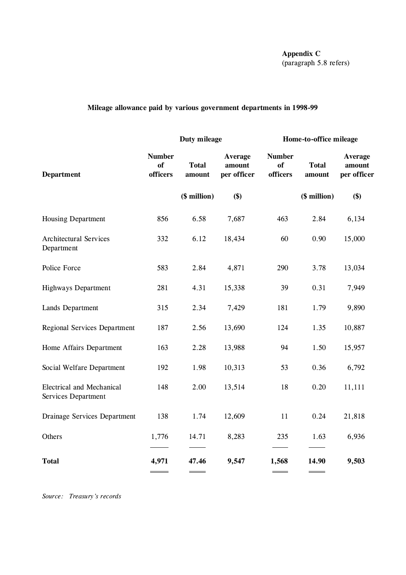**Appendix C** (paragraph 5.8 refers)

# **Mileage allowance paid by various government departments in 1998-99**

|                                                         | Duty mileage                           |                        |                                  | Home-to-office mileage                 |                        |                                         |
|---------------------------------------------------------|----------------------------------------|------------------------|----------------------------------|----------------------------------------|------------------------|-----------------------------------------|
| <b>Department</b>                                       | <b>Number</b><br><b>of</b><br>officers | <b>Total</b><br>amount | Average<br>amount<br>per officer | <b>Number</b><br><b>of</b><br>officers | <b>Total</b><br>amount | <b>Average</b><br>amount<br>per officer |
|                                                         |                                        | (\$ million)           | \$)                              |                                        | (\$ million)           | \$)                                     |
| <b>Housing Department</b>                               | 856                                    | 6.58                   | 7,687                            | 463                                    | 2.84                   | 6,134                                   |
| <b>Architectural Services</b><br>Department             | 332                                    | 6.12                   | 18,434                           | 60                                     | 0.90                   | 15,000                                  |
| Police Force                                            | 583                                    | 2.84                   | 4,871                            | 290                                    | 3.78                   | 13,034                                  |
| <b>Highways Department</b>                              | 281                                    | 4.31                   | 15,338                           | 39                                     | 0.31                   | 7,949                                   |
| Lands Department                                        | 315                                    | 2.34                   | 7,429                            | 181                                    | 1.79                   | 9,890                                   |
| <b>Regional Services Department</b>                     | 187                                    | 2.56                   | 13,690                           | 124                                    | 1.35                   | 10,887                                  |
| Home Affairs Department                                 | 163                                    | 2.28                   | 13,988                           | 94                                     | 1.50                   | 15,957                                  |
| Social Welfare Department                               | 192                                    | 1.98                   | 10,313                           | 53                                     | 0.36                   | 6,792                                   |
| <b>Electrical and Mechanical</b><br>Services Department | 148                                    | 2.00                   | 13,514                           | 18                                     | 0.20                   | 11,111                                  |
| Drainage Services Department                            | 138                                    | 1.74                   | 12,609                           | 11                                     | 0.24                   | 21,818                                  |
| Others                                                  | 1,776                                  | 14.71                  | 8,283                            | 235                                    | 1.63                   | 6,936                                   |
| <b>Total</b>                                            | 4,971                                  | 47.46                  | 9,547                            | 1,568                                  | 14.90                  | 9,503                                   |

*Source: Treasury's records*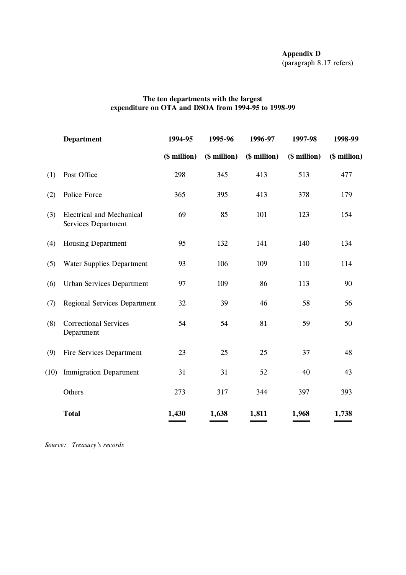# **The ten departments with the largest expenditure on OTA and DSOA from 1994-95 to 1998-99**

|      | <b>Department</b>                                       | 1994-95      | 1995-96      | 1996-97      | 1997-98      | 1998-99      |
|------|---------------------------------------------------------|--------------|--------------|--------------|--------------|--------------|
|      |                                                         | (\$ million) | (\$ million) | (\$ million) | (\$ million) | (\$ million) |
| (1)  | Post Office                                             | 298          | 345          | 413          | 513          | 477          |
| (2)  | Police Force                                            | 365          | 395          | 413          | 378          | 179          |
| (3)  | <b>Electrical and Mechanical</b><br>Services Department | 69           | 85           | 101          | 123          | 154          |
| (4)  | <b>Housing Department</b>                               | 95           | 132          | 141          | 140          | 134          |
| (5)  | <b>Water Supplies Department</b>                        | 93           | 106          | 109          | 110          | 114          |
| (6)  | <b>Urban Services Department</b>                        | 97           | 109          | 86           | 113          | 90           |
| (7)  | <b>Regional Services Department</b>                     | 32           | 39           | 46           | 58           | 56           |
| (8)  | <b>Correctional Services</b><br>Department              | 54           | 54           | 81           | 59           | 50           |
| (9)  | Fire Services Department                                | 23           | 25           | 25           | 37           | 48           |
| (10) | <b>Immigration Department</b>                           | 31           | 31           | 52           | 40           | 43           |
|      | Others                                                  | 273          | 317          | 344          | 397          | 393          |
|      | <b>Total</b>                                            | 1,430        | 1,638        | 1,811        | 1,968        | 1,738        |
|      |                                                         |              |              |              |              |              |

*Source: Treasury's records*